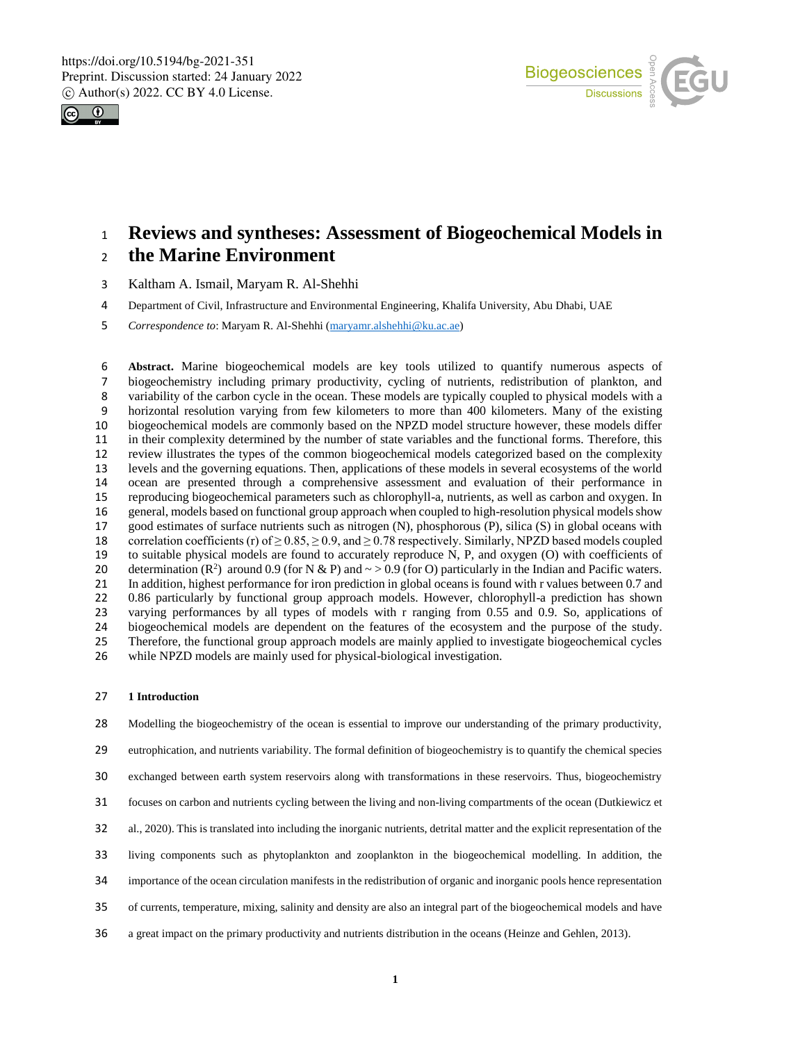



## **Reviews and syntheses: Assessment of Biogeochemical Models in the Marine Environment**

- Kaltham A. Ismail, Maryam R. Al-Shehhi
- Department of Civil, Infrastructure and Environmental Engineering, Khalifa University, Abu Dhabi, UAE
- *Correspondence to*: Maryam R. Al-Shehhi (maryamr.alshehhi@ku.ac.ae)

 **Abstract.** Marine biogeochemical models are key tools utilized to quantify numerous aspects of biogeochemistry including primary productivity, cycling of nutrients, redistribution of plankton, and 8 variability of the carbon cycle in the ocean. These models are typically coupled to physical models with a<br>9 horizontal resolution varying from few kilometers to more than 400 kilometers. Many of the existing 9 horizontal resolution varying from few kilometers to more than 400 kilometers. Many of the existing<br>10 biogeochemical models are commonly based on the NPZD model structure however, these models differ biogeochemical models are commonly based on the NPZD model structure however, these models differ in their complexity determined by the number of state variables and the functional forms. Therefore, this review illustrates the types of the common biogeochemical models categorized based on the complexity 13 levels and the governing equations. Then, applications of these models in several ecosystems of the world<br>14 ocean are presented through a comprehensive assessment and evaluation of their performance in 14 ocean are presented through a comprehensive assessment and evaluation of their performance in<br>15 reproducing biogeochemical parameters such as chlorophyll-a, nutrients, as well as carbon and oxygen. In reproducing biogeochemical parameters such as chlorophyll-a, nutrients, as well as carbon and oxygen. In 16 general, models based on functional group approach when coupled to high-resolution physical models show good estimates of surface nutrients such as nitrogen (N), phosphorous (P), silica (S) in global oceans with 18 correlation coefficients (r) of  $\geq 0.85$ ,  $\geq 0.9$ , and  $\geq 0.78$  respectively. Similarly, NPZD based models coupled to suitable physical models are found to accurately reproduce N, P, and oxygen (O) with coefficients of 20 determination (R<sup>2</sup>) around 0.9 (for N & P) and  $\sim$  > 0.9 (for O) particularly in the Indian and Pacific waters. 21 In addition, highest performance for iron prediction in global oceans is found with r values between 0.7 and<br>22 0.86 particularly by functional group approach models. However, chlorophyll-a prediction has shown 0.86 particularly by functional group approach models. However, chlorophyll-a prediction has shown 23 varying performances by all types of models with r ranging from 0.55 and 0.9. So, applications of biogeochemical models are dependent on the features of the ecosystem and the purpose of the study. biogeochemical models are dependent on the features of the ecosystem and the purpose of the study. Therefore, the functional group approach models are mainly applied to investigate biogeochemical cycles while NPZD models are mainly used for physical-biological investigation.

#### **1 Introduction**

Modelling the biogeochemistry of the ocean is essential to improve our understanding of the primary productivity,

eutrophication, and nutrients variability. The formal definition of biogeochemistry is to quantify the chemical species

- exchanged between earth system reservoirs along with transformations in these reservoirs. Thus, biogeochemistry
- focuses on carbon and nutrients cycling between the living and non-living compartments of the ocean (Dutkiewicz et
- al., 2020). This is translated into including the inorganic nutrients, detrital matter and the explicit representation of the
- living components such as phytoplankton and zooplankton in the biogeochemical modelling. In addition, the
- importance of the ocean circulation manifests in the redistribution of organic and inorganic pools hence representation
- of currents, temperature, mixing, salinity and density are also an integral part of the biogeochemical models and have
- a great impact on the primary productivity and nutrients distribution in the oceans (Heinze and Gehlen, 2013).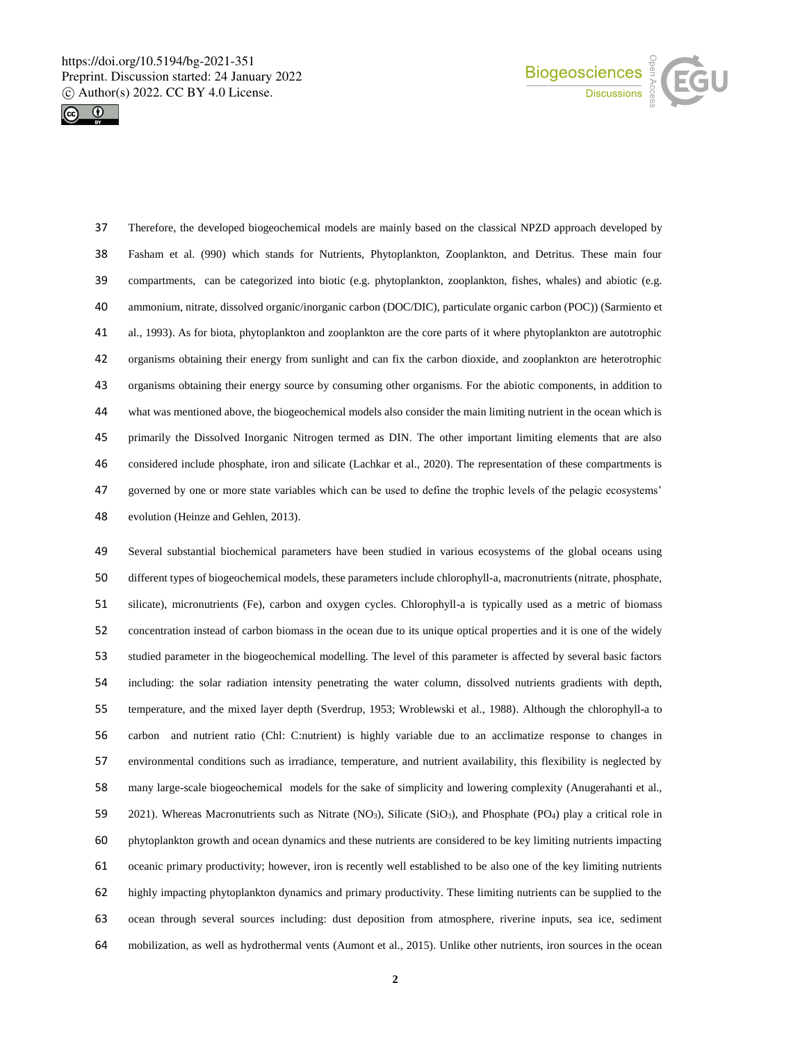



 Therefore, the developed biogeochemical models are mainly based on the classical NPZD approach developed by Fasham et al. (990) which stands for Nutrients, Phytoplankton, Zooplankton, and Detritus. These main four compartments, can be categorized into biotic (e.g. phytoplankton, zooplankton, fishes, whales) and abiotic (e.g. ammonium, nitrate, dissolved organic/inorganic carbon (DOC/DIC), particulate organic carbon (POC)) (Sarmiento et al., 1993). As for biota, phytoplankton and zooplankton are the core parts of it where phytoplankton are autotrophic organisms obtaining their energy from sunlight and can fix the carbon dioxide, and zooplankton are heterotrophic organisms obtaining their energy source by consuming other organisms. For the abiotic components, in addition to what was mentioned above, the biogeochemical models also consider the main limiting nutrient in the ocean which is primarily the Dissolved Inorganic Nitrogen termed as DIN. The other important limiting elements that are also considered include phosphate, iron and silicate (Lachkar et al., 2020). The representation of these compartments is governed by one or more state variables which can be used to define the trophic levels of the pelagic ecosystems' evolution (Heinze and Gehlen, 2013).

 Several substantial biochemical parameters have been studied in various ecosystems of the global oceans using different types of biogeochemical models, these parameters include chlorophyll-a, macronutrients (nitrate, phosphate, silicate), micronutrients (Fe), carbon and oxygen cycles. Chlorophyll-a is typically used as a metric of biomass concentration instead of carbon biomass in the ocean due to its unique optical properties and it is one of the widely studied parameter in the biogeochemical modelling. The level of this parameter is affected by several basic factors including: the solar radiation intensity penetrating the water column, dissolved nutrients gradients with depth, temperature, and the mixed layer depth (Sverdrup, 1953; Wroblewski et al., 1988). Although the chlorophyll-a to carbon and nutrient ratio (Chl: C:nutrient) is highly variable due to an acclimatize response to changes in environmental conditions such as irradiance, temperature, and nutrient availability, this flexibility is neglected by many large-scale biogeochemical models for the sake of simplicity and lowering complexity (Anugerahanti et al., 59 2021). Whereas Macronutrients such as Nitrate (NO<sub>3</sub>), Silicate (SiO<sub>3</sub>), and Phosphate (PO<sub>4</sub>) play a critical role in phytoplankton growth and ocean dynamics and these nutrients are considered to be key limiting nutrients impacting oceanic primary productivity; however, iron is recently well established to be also one of the key limiting nutrients highly impacting phytoplankton dynamics and primary productivity. These limiting nutrients can be supplied to the ocean through several sources including: dust deposition from atmosphere, riverine inputs, sea ice, sediment mobilization, as well as hydrothermal vents (Aumont et al., 2015). Unlike other nutrients, iron sources in the ocean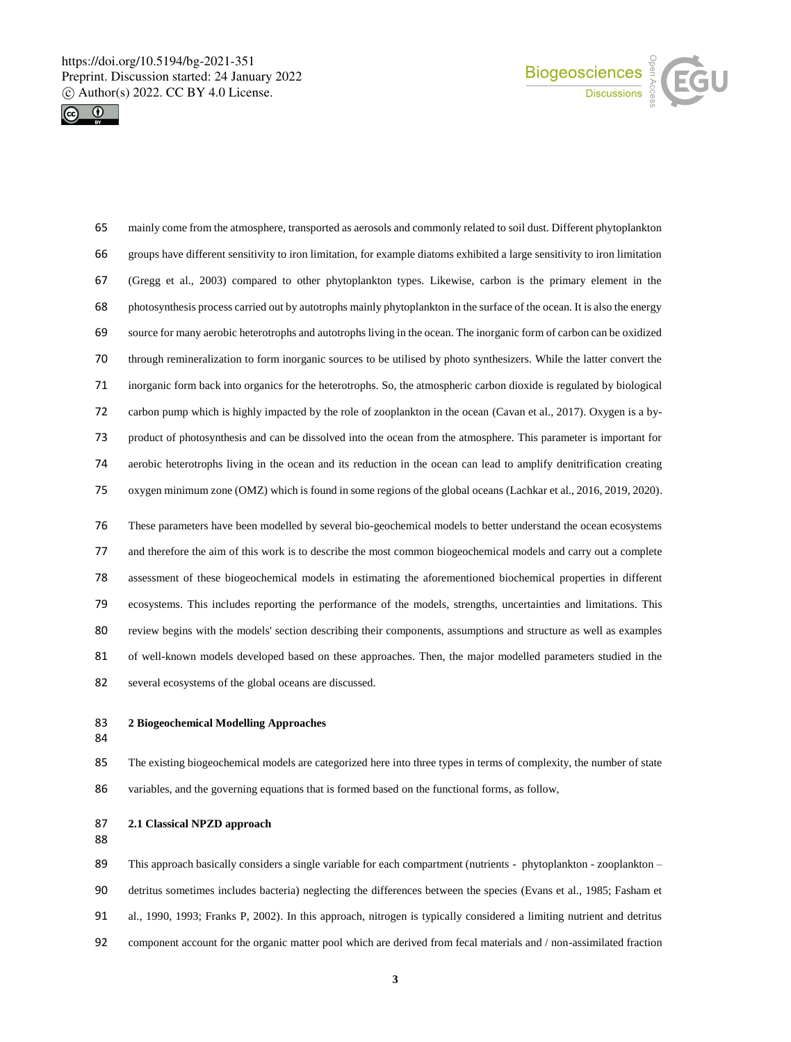



 mainly come from the atmosphere, transported as aerosols and commonly related to soil dust. Different phytoplankton groups have different sensitivity to iron limitation, for example diatoms exhibited a large sensitivity to iron limitation (Gregg et al., 2003) compared to other phytoplankton types. Likewise, carbon is the primary element in the photosynthesis process carried out by autotrophs mainly phytoplankton in the surface of the ocean. It is also the energy source for many aerobic heterotrophs and autotrophs living in the ocean. The inorganic form of carbon can be oxidized through remineralization to form inorganic sources to be utilised by photo synthesizers. While the latter convert the inorganic form back into organics for the heterotrophs. So, the atmospheric carbon dioxide is regulated by biological carbon pump which is highly impacted by the role of zooplankton in the ocean (Cavan et al., 2017). Oxygen is a by- product of photosynthesis and can be dissolved into the ocean from the atmosphere. This parameter is important for aerobic heterotrophs living in the ocean and its reduction in the ocean can lead to amplify denitrification creating oxygen minimum zone (OMZ) which is found in some regions of the global oceans (Lachkar et al., 2016, 2019, 2020). These parameters have been modelled by several bio-geochemical models to better understand the ocean ecosystems and therefore the aim of this work is to describe the most common biogeochemical models and carry out a complete assessment of these biogeochemical models in estimating the aforementioned biochemical properties in different ecosystems. This includes reporting the performance of the models, strengths, uncertainties and limitations. This review begins with the models' section describing their components, assumptions and structure as well as examples

 of well-known models developed based on these approaches. Then, the major modelled parameters studied in the several ecosystems of the global oceans are discussed.

- 
- 

**2 Biogeochemical Modelling Approaches** 

 The existing biogeochemical models are categorized here into three types in terms of complexity, the number of state variables, and the governing equations that is formed based on the functional forms, as follow,

**2.1 Classical NPZD approach** 

 This approach basically considers a single variable for each compartment (nutrients - phytoplankton - zooplankton – detritus sometimes includes bacteria) neglecting the differences between the species (Evans et al., 1985; Fasham et al., 1990, 1993; Franks P, 2002). In this approach, nitrogen is typically considered a limiting nutrient and detritus component account for the organic matter pool which are derived from fecal materials and / non-assimilated fraction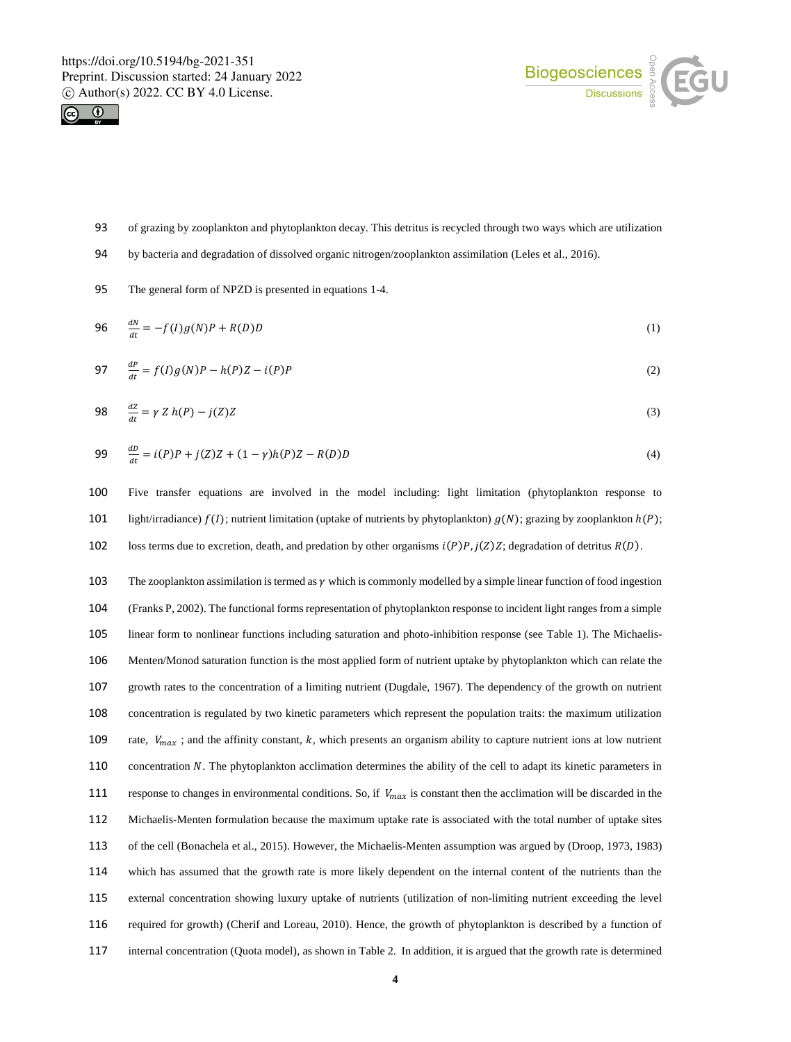



- 93 of grazing by zooplankton and phytoplankton decay. This detritus is recycled through two ways which are utilization
- 94 by bacteria and degradation of dissolved organic nitrogen/zooplankton assimilation (Leles et al., 2016).
- 95 The general form of NPZD is presented in equations 1-4.

$$
96 \qquad \frac{dN}{dt} = -f(I)g(N)P + R(D)D \tag{1}
$$

$$
97 \quad \frac{dP}{dt} = f(I)g(N)P - h(P)Z - i(P)P \tag{2}
$$

$$
98 \quad \frac{dz}{dt} = \gamma Z h(P) - j(Z)Z \tag{3}
$$

99 
$$
\frac{dD}{dt} = i(P)P + j(Z)Z + (1 - \gamma)h(P)Z - R(D)D
$$
 (4)

100 Five transfer equations are involved in the model including: light limitation (phytoplankton response to 101 light/irradiance)  $f(I)$ ; nutrient limitation (uptake of nutrients by phytoplankton)  $g(N)$ ; grazing by zooplankton  $h(P)$ ; 102 loss terms due to excretion, death, and predation by other organisms  $i(P)P$ ,  $j(Z)Z$ ; degradation of detritus  $R(D)$ .

103 The zooplankton assimilation is termed as  $\gamma$  which is commonly modelled by a simple linear function of food ingestion (Franks P, 2002). The functional forms representation of phytoplankton response to incident light ranges from a simple linear form to nonlinear functions including saturation and photo-inhibition response (see Table 1). The Michaelis- Menten/Monod saturation function is the most applied form of nutrient uptake by phytoplankton which can relate the growth rates to the concentration of a limiting nutrient (Dugdale, 1967). The dependency of the growth on nutrient concentration is regulated by two kinetic parameters which represent the population traits: the maximum utilization 109 rate,  $V_{max}$ ; and the affinity constant, k, which presents an organism ability to capture nutrient ions at low nutrient 110 concentration N. The phytoplankton acclimation determines the ability of the cell to adapt its kinetic parameters in 111 response to changes in environmental conditions. So, if  $V_{max}$  is constant then the acclimation will be discarded in the Michaelis-Menten formulation because the maximum uptake rate is associated with the total number of uptake sites of the cell (Bonachela et al., 2015). However, the Michaelis-Menten assumption was argued by (Droop, 1973, 1983) which has assumed that the growth rate is more likely dependent on the internal content of the nutrients than the external concentration showing luxury uptake of nutrients (utilization of non-limiting nutrient exceeding the level required for growth) (Cherif and Loreau, 2010). Hence, the growth of phytoplankton is described by a function of internal concentration (Quota model), as shown in Table 2. In addition, it is argued that the growth rate is determined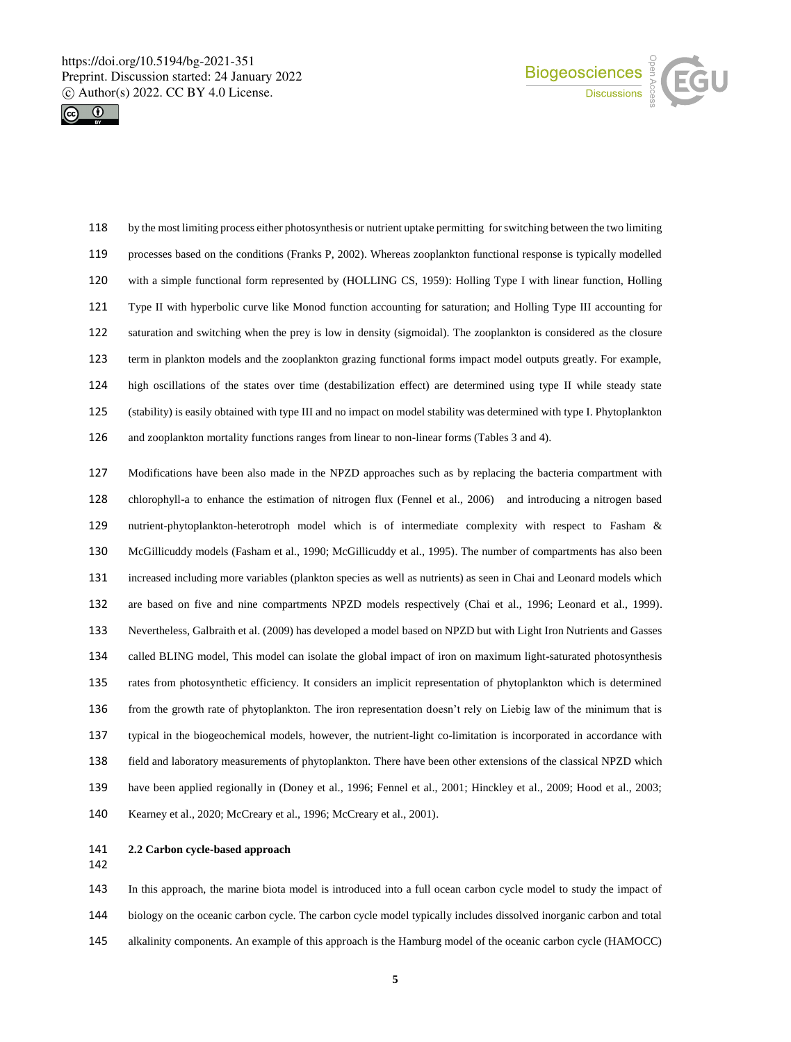



 by the most limiting process either photosynthesis or nutrient uptake permitting for switching between the two limiting processes based on the conditions (Franks P, 2002). Whereas zooplankton functional response is typically modelled with a simple functional form represented by (HOLLING CS, 1959): Holling Type I with linear function, Holling Type II with hyperbolic curve like Monod function accounting for saturation; and Holling Type III accounting for saturation and switching when the prey is low in density (sigmoidal). The zooplankton is considered as the closure term in plankton models and the zooplankton grazing functional forms impact model outputs greatly. For example, high oscillations of the states over time (destabilization effect) are determined using type II while steady state (stability) is easily obtained with type III and no impact on model stability was determined with type I. Phytoplankton and zooplankton mortality functions ranges from linear to non-linear forms (Tables 3 and 4).

 Modifications have been also made in the NPZD approaches such as by replacing the bacteria compartment with chlorophyll-a to enhance the estimation of nitrogen flux (Fennel et al., 2006) and introducing a nitrogen based nutrient-phytoplankton-heterotroph model which is of intermediate complexity with respect to Fasham & McGillicuddy models (Fasham et al., 1990; McGillicuddy et al., 1995). The number of compartments has also been increased including more variables (plankton species as well as nutrients) as seen in Chai and Leonard models which are based on five and nine compartments NPZD models respectively (Chai et al., 1996; Leonard et al., 1999). Nevertheless, Galbraith et al. (2009) has developed a model based on NPZD but with Light Iron Nutrients and Gasses called BLING model, This model can isolate the global impact of iron on maximum light-saturated photosynthesis rates from photosynthetic efficiency. It considers an implicit representation of phytoplankton which is determined from the growth rate of phytoplankton. The iron representation doesn't rely on Liebig law of the minimum that is typical in the biogeochemical models, however, the nutrient-light co-limitation is incorporated in accordance with field and laboratory measurements of phytoplankton. There have been other extensions of the classical NPZD which have been applied regionally in (Doney et al., 1996; Fennel et al., 2001; Hinckley et al., 2009; Hood et al., 2003; Kearney et al., 2020; McCreary et al., 1996; McCreary et al., 2001).

- **2.2 Carbon cycle-based approach**
- 

# In this approach, the marine biota model is introduced into a full ocean carbon cycle model to study the impact of biology on the oceanic carbon cycle. The carbon cycle model typically includes dissolved inorganic carbon and total alkalinity components. An example of this approach is the Hamburg model of the oceanic carbon cycle (HAMOCC)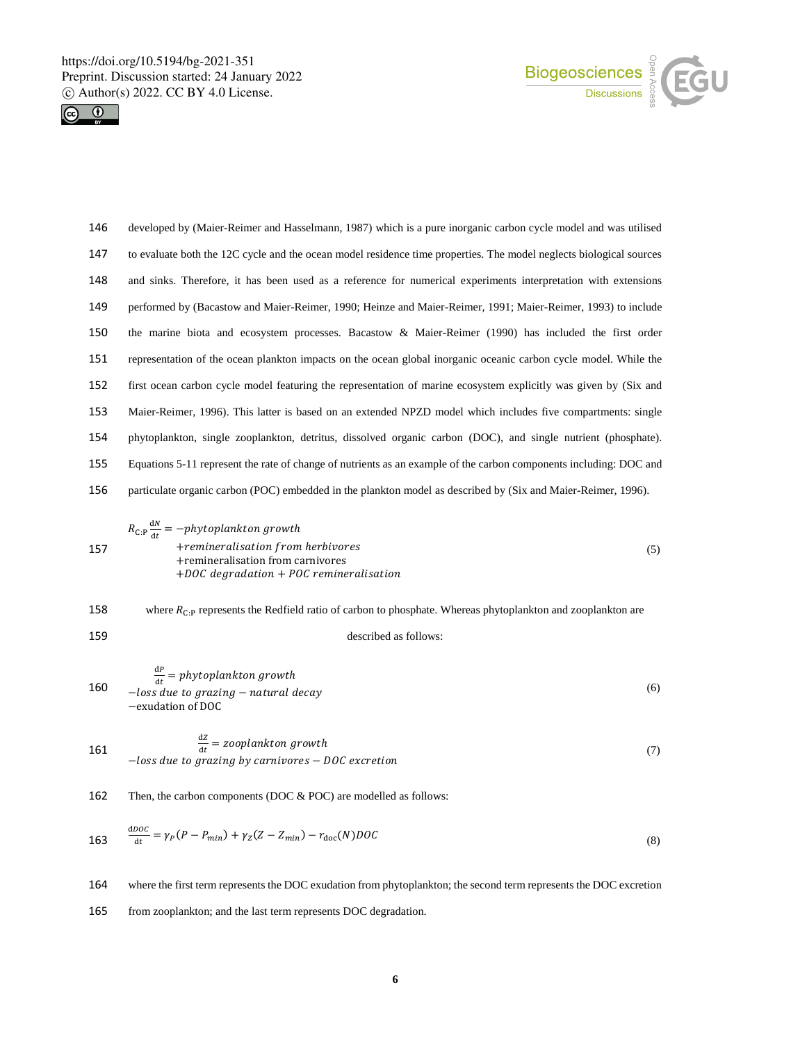



 developed by (Maier-Reimer and Hasselmann, 1987) which is a pure inorganic carbon cycle model and was utilised to evaluate both the 12C cycle and the ocean model residence time properties. The model neglects biological sources and sinks. Therefore, it has been used as a reference for numerical experiments interpretation with extensions performed by (Bacastow and Maier-Reimer, 1990; Heinze and Maier-Reimer, 1991; Maier-Reimer, 1993) to include the marine biota and ecosystem processes. Bacastow & Maier-Reimer (1990) has included the first order representation of the ocean plankton impacts on the ocean global inorganic oceanic carbon cycle model. While the first ocean carbon cycle model featuring the representation of marine ecosystem explicitly was given by (Six and Maier-Reimer, 1996). This latter is based on an extended NPZD model which includes five compartments: single phytoplankton, single zooplankton, detritus, dissolved organic carbon (DOC), and single nutrient (phosphate). Equations 5-11 represent the rate of change of nutrients as an example of the carbon components including: DOC and particulate organic carbon (POC) embedded in the plankton model as described by (Six and Maier-Reimer, 1996).

$$
R_{\text{C:P}} \frac{dN}{dt} = -phytoplankton\ growth
$$
  
157 +remineralisation from herbivores  
+remineralisation from carnivores  
+DOC\ degradation + POL remineralisation

158 where  $R_{C:P}$  represents the Redfield ratio of carbon to phosphate. Whereas phytoplankton and zooplankton are 159 described as follows:

$$
\frac{dP}{dt} = phytoplankton\ growth
$$
  
-*loss due to grazing – natural decay*  
-exulation of DOC

 $\overline{a}$ 

161 
$$
\frac{dz}{dt} = zooplankton\ growth
$$
  
-*loss due to grazing by carnivores – DOC excretion* (7)

162 Then, the carbon components (DOC & POC) are modelled as follows:

$$
\frac{d\rho o}{dt} = \gamma_P (P - P_{min}) + \gamma_Z (Z - Z_{min}) - r_{doc}(N) DOC \tag{8}
$$

164 where the first term represents the DOC exudation from phytoplankton; the second term represents the DOC excretion

165 from zooplankton; and the last term represents DOC degradation.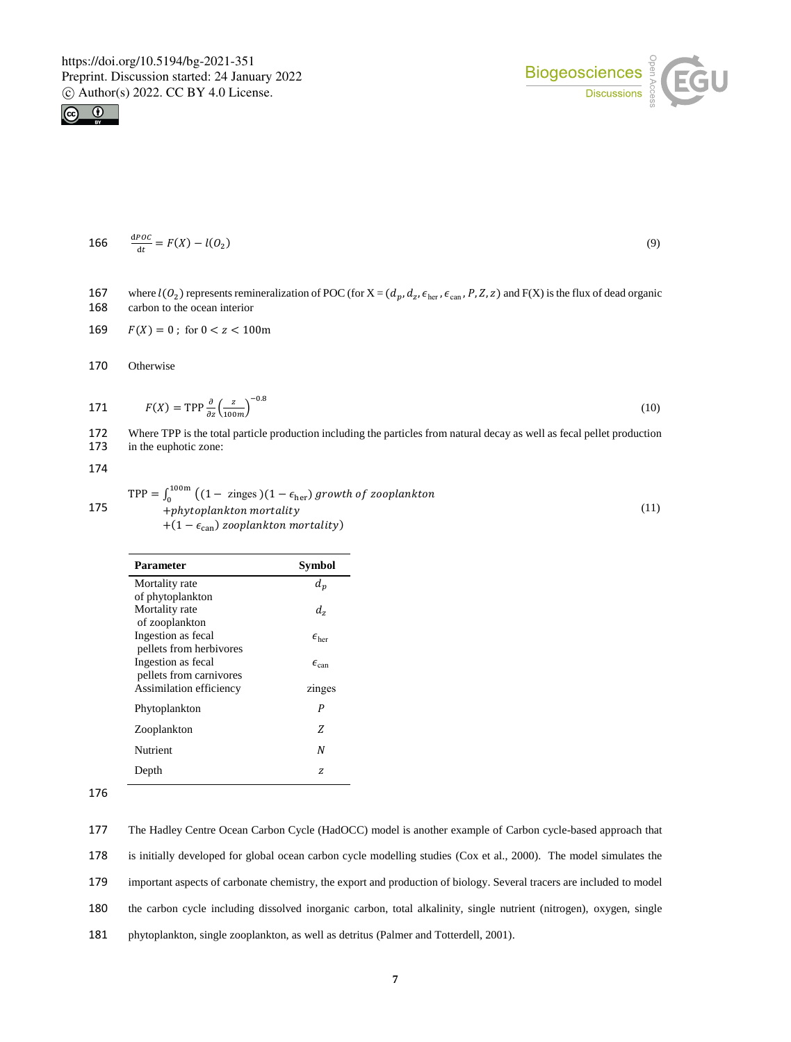



$$
166 \qquad \frac{\text{d}POC}{\text{d}t} = F(X) - l(O_2) \tag{9}
$$

167 where  $l(O_2)$  represents remineralization of POC (for  $X = (d_p, d_z, \epsilon_{\text{her}}, \epsilon_{\text{can}}, P, Z, z)$  and  $F(X)$  is the flux of dead organic 168 carbon to the ocean interior

169 
$$
F(X) = 0
$$
; for  $0 < z < 100$ m

170 Otherwise

171 
$$
F(X) = \text{TPP} \frac{\partial}{\partial z} \left( \frac{z}{100m} \right)^{-0.8}
$$
 (10)

172 Where TPP is the total particle production including the particles from natural decay as well as fecal pellet production 173 in the euphotic zone: in the euphotic zone:

174

$$
TPP = \int_0^{100m} \left( (1 - zinges)(1 - \epsilon_{her}) \text{ growth of zooplankton} + \text{phytoplankton mortality} \right) + (1 - \epsilon_{can}) \text{zooplankton mortality} \tag{11}
$$

| Parameter               | Symbol                  |
|-------------------------|-------------------------|
| Mortality rate          | $d_n$                   |
| of phytoplankton        |                         |
| Mortality rate          | d,                      |
| of zooplankton          |                         |
| Ingestion as fecal      | $\epsilon_{\text{her}}$ |
| pellets from herbivores |                         |
| Ingestion as fecal      | $\epsilon_{\rm can}$    |
| pellets from carnivores |                         |
| Assimilation efficiency | zinges                  |
| Phytoplankton           | P                       |
| Zooplankton             | Z                       |
| Nutrient                | N                       |
| Depth                   | z                       |

176

177 The Hadley Centre Ocean Carbon Cycle (HadOCC) model is another example of Carbon cycle-based approach that

178 is initially developed for global ocean carbon cycle modelling studies (Cox et al., 2000). The model simulates the

179 important aspects of carbonate chemistry, the export and production of biology. Several tracers are included to model

180 the carbon cycle including dissolved inorganic carbon, total alkalinity, single nutrient (nitrogen), oxygen, single

181 phytoplankton, single zooplankton, as well as detritus (Palmer and Totterdell, 2001).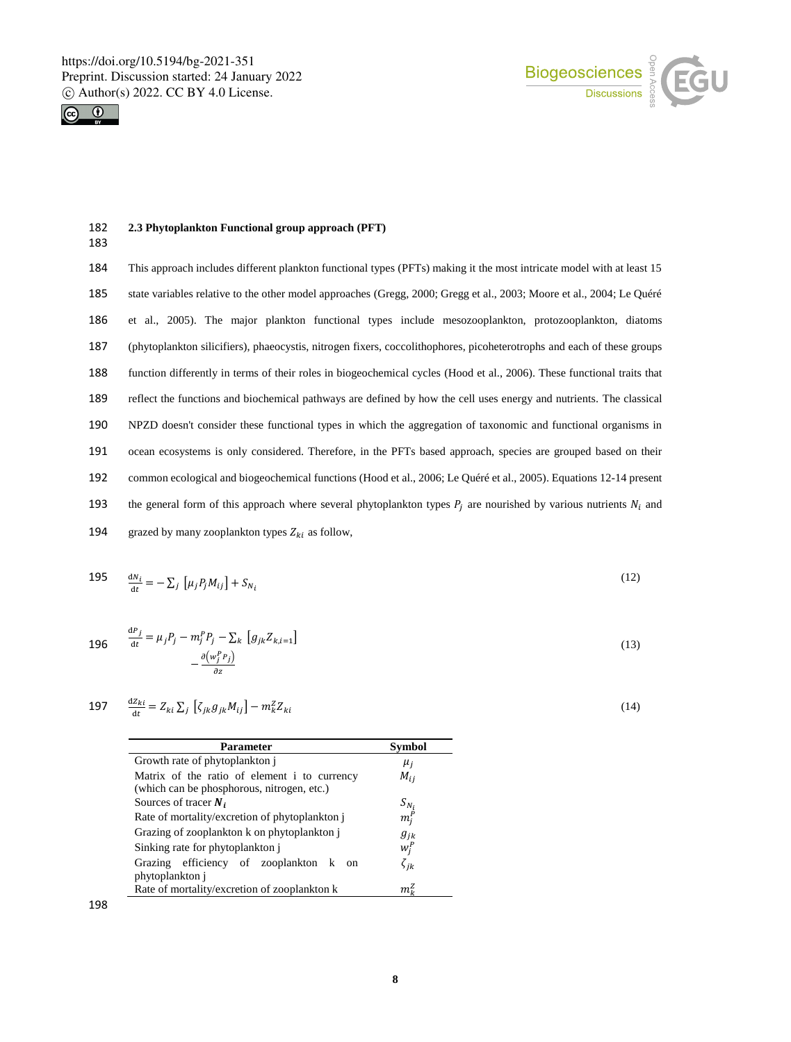

183



#### 182 **2.3 Phytoplankton Functional group approach (PFT)**

 This approach includes different plankton functional types (PFTs) making it the most intricate model with at least 15 state variables relative to the other model approaches (Gregg, 2000; Gregg et al., 2003; Moore et al., 2004; Le Quéré et al., 2005). The major plankton functional types include mesozooplankton, protozooplankton, diatoms (phytoplankton silicifiers), phaeocystis, nitrogen fixers, coccolithophores, picoheterotrophs and each of these groups function differently in terms of their roles in biogeochemical cycles (Hood et al., 2006). These functional traits that reflect the functions and biochemical pathways are defined by how the cell uses energy and nutrients. The classical NPZD doesn't consider these functional types in which the aggregation of taxonomic and functional organisms in ocean ecosystems is only considered. Therefore, in the PFTs based approach, species are grouped based on their common ecological and biogeochemical functions (Hood et al., 2006; Le Quéré et al., 2005). Equations 12-14 present 193 the general form of this approach where several phytoplankton types  $P_i$  are nourished by various nutrients  $N_i$  and 194 grazed by many zooplankton types  $Z_{ki}$  as follow,

$$
\frac{195}{dt} = -\sum_{j} \left[ \mu_j P_j M_{ij} \right] + S_{N_i} \tag{12}
$$

$$
\frac{dP_j}{dt} = \mu_j P_j - m_j^P P_j - \sum_k \left[ g_{jk} Z_{k,i=1} \right]
$$
  
 
$$
- \frac{\partial (w_j^P P_j)}{\partial z}
$$
 (13)

$$
197 \qquad \frac{\mathrm{d}Z_{ki}}{\mathrm{d}t} = Z_{ki} \sum_j \left[ \zeta_{jk} g_{jk} M_{ij} \right] - m_k^Z Z_{ki} \tag{14}
$$

| Parameter                                                       | Symbol       |
|-----------------------------------------------------------------|--------------|
| Growth rate of phytoplankton j                                  | $\mu_i$      |
| Matrix of the ratio of element i to currency                    | $M_{ij}$     |
| (which can be phosphorous, nitrogen, etc.)                      |              |
| Sources of tracer $N_i$                                         | $S_{N_i}$    |
| Rate of mortality/excretion of phytoplankton i                  | $m_i^P$      |
| Grazing of zooplankton k on phytoplankton j                     | $g_{ik}$     |
| Sinking rate for phytoplankton j                                | $w_i^P$      |
| Grazing efficiency of zooplankton k on                          | $\zeta_{ik}$ |
|                                                                 |              |
| phytoplankton j<br>Rate of mortality/excretion of zooplankton k | mt           |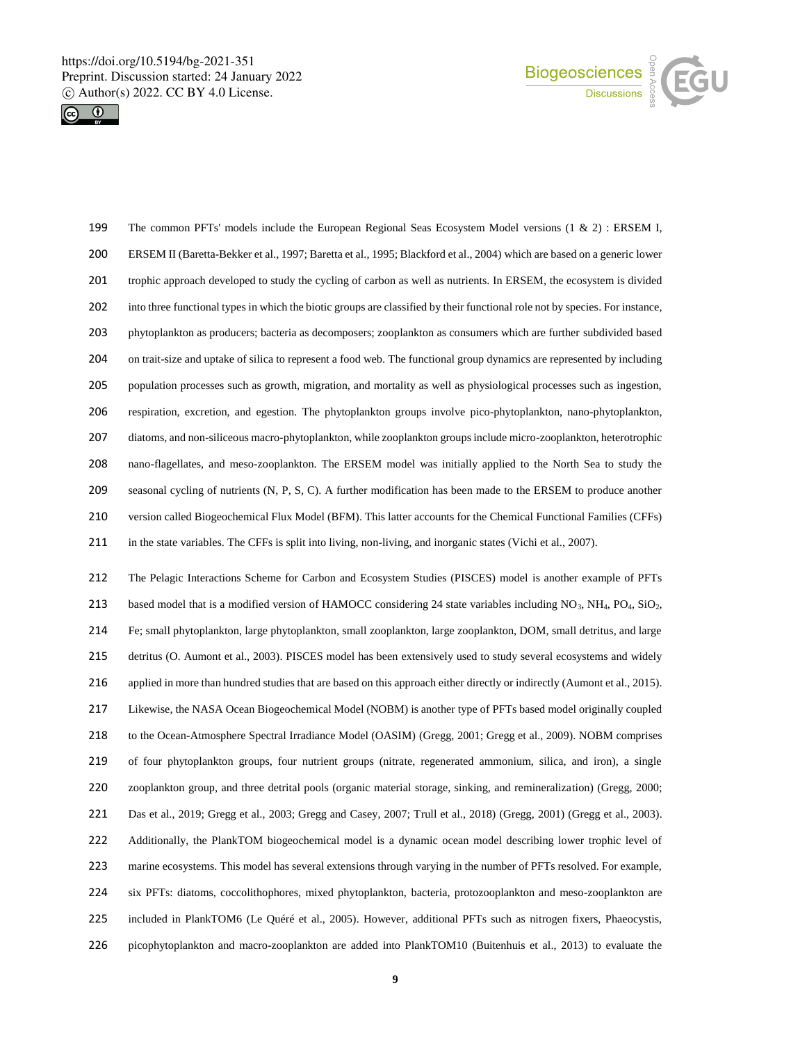



 The common PFTs' models include the European Regional Seas Ecosystem Model versions (1 & 2) : ERSEM I, ERSEM II (Baretta-Bekker et al., 1997; Baretta et al., 1995; Blackford et al., 2004) which are based on a generic lower trophic approach developed to study the cycling of carbon as well as nutrients. In ERSEM, the ecosystem is divided into three functional types in which the biotic groups are classified by their functional role not by species. For instance, phytoplankton as producers; bacteria as decomposers; zooplankton as consumers which are further subdivided based on trait-size and uptake of silica to represent a food web. The functional group dynamics are represented by including population processes such as growth, migration, and mortality as well as physiological processes such as ingestion, respiration, excretion, and egestion. The phytoplankton groups involve pico-phytoplankton, nano-phytoplankton, diatoms, and non-siliceous macro-phytoplankton, while zooplankton groups include micro-zooplankton, heterotrophic nano-flagellates, and meso-zooplankton. The ERSEM model was initially applied to the North Sea to study the seasonal cycling of nutrients (N, P, S, C). A further modification has been made to the ERSEM to produce another version called Biogeochemical Flux Model (BFM). This latter accounts for the Chemical Functional Families (CFFs) in the state variables. The CFFs is split into living, non-living, and inorganic states (Vichi et al., 2007).

 The Pelagic Interactions Scheme for Carbon and Ecosystem Studies (PISCES) model is another example of PFTs 213 based model that is a modified version of HAMOCC considering 24 state variables including NO<sub>3</sub>, NH<sub>4</sub>, PO<sub>4</sub>, SiO<sub>2</sub>, Fe; small phytoplankton, large phytoplankton, small zooplankton, large zooplankton, DOM, small detritus, and large detritus (O. Aumont et al., 2003). PISCES model has been extensively used to study several ecosystems and widely 216 applied in more than hundred studies that are based on this approach either directly or indirectly (Aumont et al., 2015). Likewise, the NASA Ocean Biogeochemical Model (NOBM) is another type of PFTs based model originally coupled to the Ocean-Atmosphere Spectral Irradiance Model (OASIM) (Gregg, 2001; Gregg et al., 2009). NOBM comprises of four phytoplankton groups, four nutrient groups (nitrate, regenerated ammonium, silica, and iron), a single zooplankton group, and three detrital pools (organic material storage, sinking, and remineralization) (Gregg, 2000; Das et al., 2019; Gregg et al., 2003; Gregg and Casey, 2007; Trull et al., 2018) (Gregg, 2001) (Gregg et al., 2003). Additionally, the PlankTOM biogeochemical model is a dynamic ocean model describing lower trophic level of marine ecosystems. This model has several extensions through varying in the number of PFTs resolved. For example, six PFTs: diatoms, coccolithophores, mixed phytoplankton, bacteria, protozooplankton and meso-zooplankton are included in PlankTOM6 (Le Quéré et al., 2005). However, additional PFTs such as nitrogen fixers, Phaeocystis, picophytoplankton and macro-zooplankton are added into PlankTOM10 (Buitenhuis et al., 2013) to evaluate the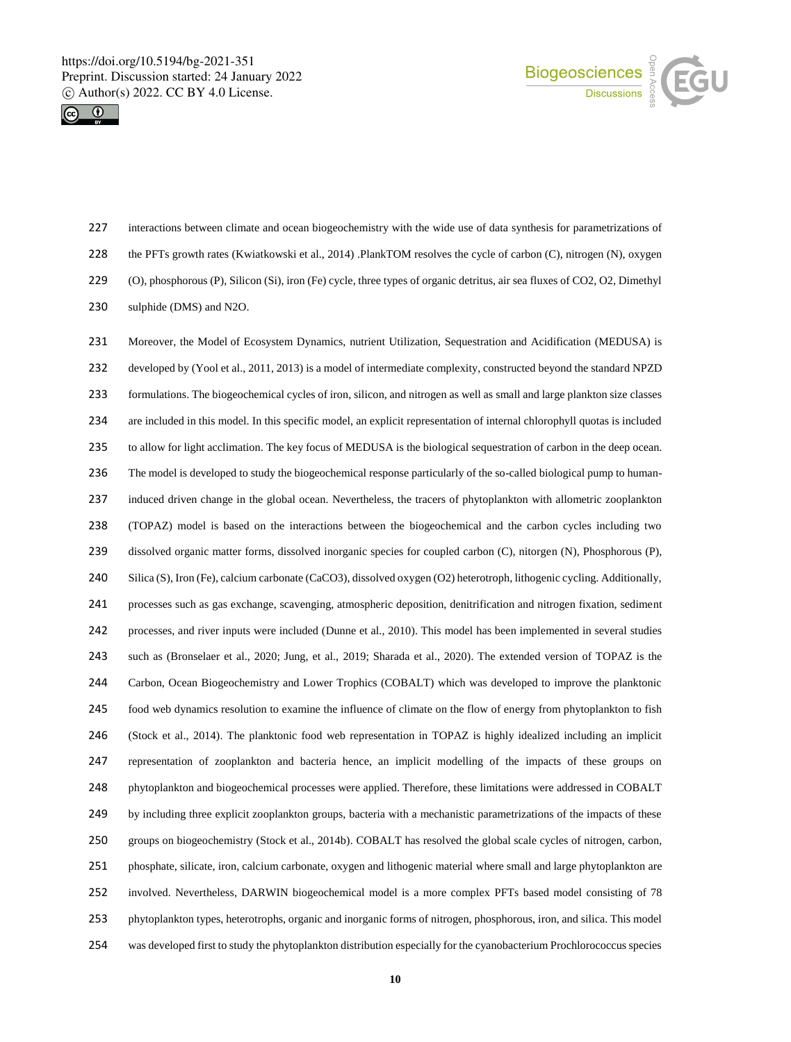



 interactions between climate and ocean biogeochemistry with the wide use of data synthesis for parametrizations of the PFTs growth rates (Kwiatkowski et al., 2014) .PlankTOM resolves the cycle of carbon (C), nitrogen (N), oxygen (O), phosphorous (P), Silicon (Si), iron (Fe) cycle, three types of organic detritus, air sea fluxes of CO2, O2, Dimethyl sulphide (DMS) and N2O.

231 Moreover, the Model of Ecosystem Dynamics, nutrient Utilization, Sequestration and Acidification (MEDUSA) is developed by (Yool et al., 2011, 2013) is a model of intermediate complexity, constructed beyond the standard NPZD formulations. The biogeochemical cycles of iron, silicon, and nitrogen as well as small and large plankton size classes are included in this model. In this specific model, an explicit representation of internal chlorophyll quotas is included to allow for light acclimation. The key focus of MEDUSA is the biological sequestration of carbon in the deep ocean. The model is developed to study the biogeochemical response particularly of the so-called biological pump to human- induced driven change in the global ocean. Nevertheless, the tracers of phytoplankton with allometric zooplankton (TOPAZ) model is based on the interactions between the biogeochemical and the carbon cycles including two dissolved organic matter forms, dissolved inorganic species for coupled carbon (C), nitorgen (N), Phosphorous (P), Silica (S), Iron (Fe), calcium carbonate (CaCO3), dissolved oxygen (O2) heterotroph, lithogenic cycling. Additionally, processes such as gas exchange, scavenging, atmospheric deposition, denitrification and nitrogen fixation, sediment processes, and river inputs were included (Dunne et al., 2010). This model has been implemented in several studies such as (Bronselaer et al., 2020; Jung, et al., 2019; Sharada et al., 2020). The extended version of TOPAZ is the Carbon, Ocean Biogeochemistry and Lower Trophics (COBALT) which was developed to improve the planktonic food web dynamics resolution to examine the influence of climate on the flow of energy from phytoplankton to fish (Stock et al., 2014). The planktonic food web representation in TOPAZ is highly idealized including an implicit representation of zooplankton and bacteria hence, an implicit modelling of the impacts of these groups on phytoplankton and biogeochemical processes were applied. Therefore, these limitations were addressed in COBALT by including three explicit zooplankton groups, bacteria with a mechanistic parametrizations of the impacts of these groups on biogeochemistry (Stock et al., 2014b). COBALT has resolved the global scale cycles of nitrogen, carbon, phosphate, silicate, iron, calcium carbonate, oxygen and lithogenic material where small and large phytoplankton are involved. Nevertheless, DARWIN biogeochemical model is a more complex PFTs based model consisting of 78 phytoplankton types, heterotrophs, organic and inorganic forms of nitrogen, phosphorous, iron, and silica. This model was developed first to study the phytoplankton distribution especially for the cyanobacterium Prochlorococcus species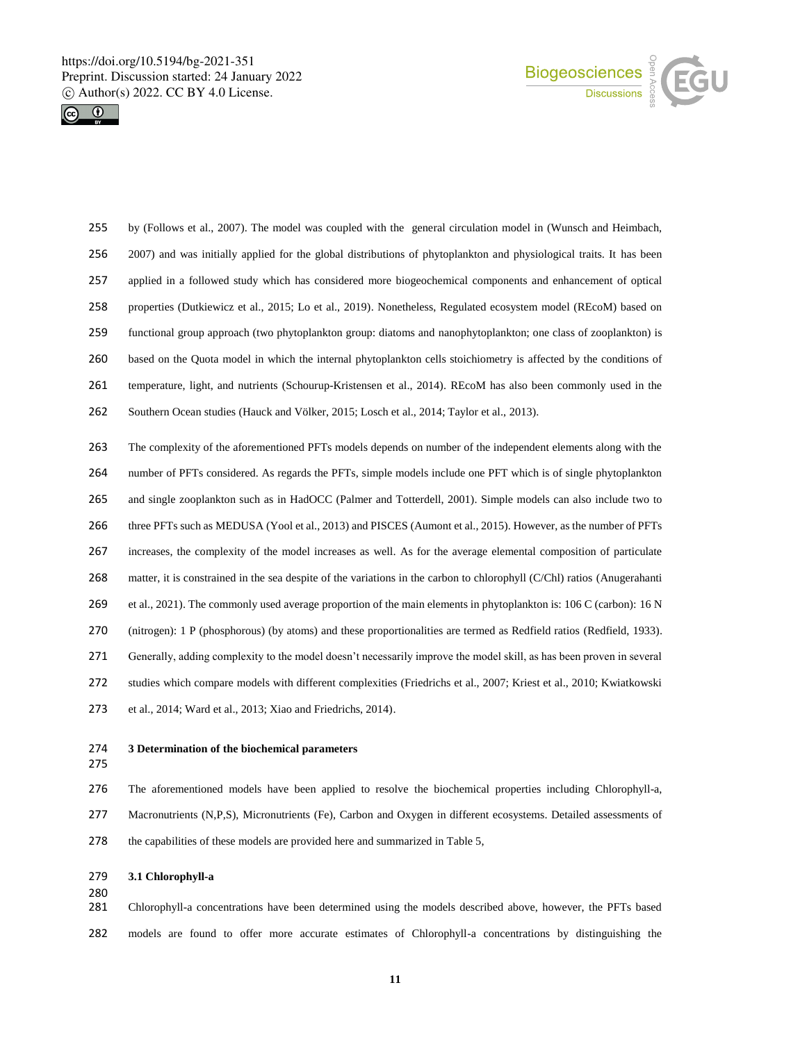



- by (Follows et al., 2007). The model was coupled with the general circulation model in (Wunsch and Heimbach, 256 2007) and was initially applied for the global distributions of phytoplankton and physiological traits. It has been applied in a followed study which has considered more biogeochemical components and enhancement of optical properties (Dutkiewicz et al., 2015; Lo et al., 2019). Nonetheless, Regulated ecosystem model (REcoM) based on functional group approach (two phytoplankton group: diatoms and nanophytoplankton; one class of zooplankton) is based on the Quota model in which the internal phytoplankton cells stoichiometry is affected by the conditions of temperature, light, and nutrients (Schourup-Kristensen et al., 2014). REcoM has also been commonly used in the Southern Ocean studies (Hauck and Völker, 2015; Losch et al., 2014; Taylor et al., 2013). The complexity of the aforementioned PFTs models depends on number of the independent elements along with the number of PFTs considered. As regards the PFTs, simple models include one PFT which is of single phytoplankton and single zooplankton such as in HadOCC (Palmer and Totterdell, 2001). Simple models can also include two to three PFTs such as MEDUSA (Yool et al., 2013) and PISCES (Aumont et al., 2015). However, as the number of PFTs increases, the complexity of the model increases as well. As for the average elemental composition of particulate
- matter, it is constrained in the sea despite of the variations in the carbon to chlorophyll (C/Chl) ratios (Anugerahanti et al., 2021). The commonly used average proportion of the main elements in phytoplankton is: 106 C (carbon): 16 N (nitrogen): 1 P (phosphorous) (by atoms) and these proportionalities are termed as Redfield ratios (Redfield, 1933). Generally, adding complexity to the model doesn't necessarily improve the model skill, as has been proven in several studies which compare models with different complexities (Friedrichs et al., 2007; Kriest et al., 2010; Kwiatkowski et al., 2014; Ward et al., 2013; Xiao and Friedrichs, 2014).
- 
- **3 Determination of the biochemical parameters**
- 

 The aforementioned models have been applied to resolve the biochemical properties including Chlorophyll-a, 277 Macronutrients (N,P,S), Micronutrients (Fe), Carbon and Oxygen in different ecosystems. Detailed assessments of 278 the capabilities of these models are provided here and summarized in Table 5,

#### **3.1 Chlorophyll-a**

 Chlorophyll-a concentrations have been determined using the models described above, however, the PFTs based models are found to offer more accurate estimates of Chlorophyll-a concentrations by distinguishing the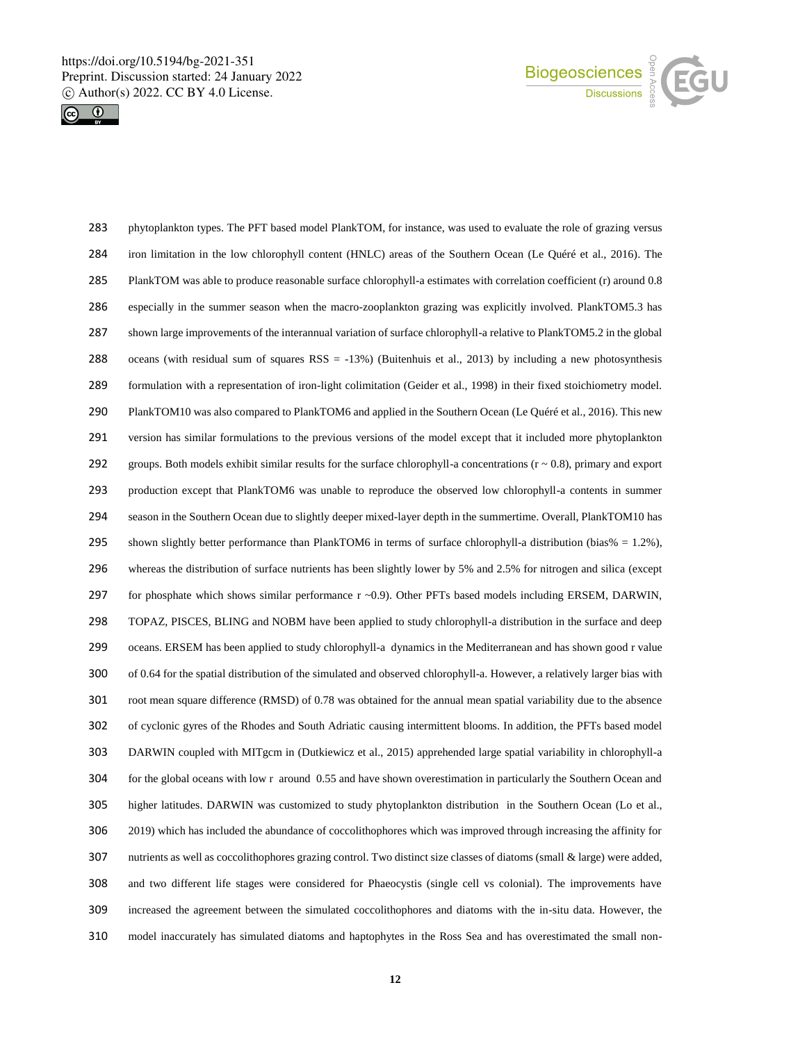



 phytoplankton types. The PFT based model PlankTOM, for instance, was used to evaluate the role of grazing versus iron limitation in the low chlorophyll content (HNLC) areas of the Southern Ocean (Le Quéré et al., 2016). The PlankTOM was able to produce reasonable surface chlorophyll-a estimates with correlation coefficient (r) around 0.8 especially in the summer season when the macro-zooplankton grazing was explicitly involved. PlankTOM5.3 has shown large improvements of the interannual variation of surface chlorophyll-a relative to PlankTOM5.2 in the global oceans (with residual sum of squares RSS = -13%) (Buitenhuis et al., 2013) by including a new photosynthesis formulation with a representation of iron-light colimitation (Geider et al., 1998) in their fixed stoichiometry model. PlankTOM10 was also compared to PlankTOM6 and applied in the Southern Ocean (Le Quéré et al., 2016). This new version has similar formulations to the previous versions of the model except that it included more phytoplankton 292 groups. Both models exhibit similar results for the surface chlorophyll-a concentrations  $(r \sim 0.8)$ , primary and export production except that PlankTOM6 was unable to reproduce the observed low chlorophyll-a contents in summer season in the Southern Ocean due to slightly deeper mixed-layer depth in the summertime. Overall, PlankTOM10 has 295 shown slightly better performance than PlankTOM6 in terms of surface chlorophyll-a distribution (bias% = 1.2%), whereas the distribution of surface nutrients has been slightly lower by 5% and 2.5% for nitrogen and silica (except 297 for phosphate which shows similar performance r ~0.9). Other PFTs based models including ERSEM, DARWIN, TOPAZ, PISCES, BLING and NOBM have been applied to study chlorophyll-a distribution in the surface and deep oceans. ERSEM has been applied to study chlorophyll-a dynamics in the Mediterranean and has shown good r value of 0.64 for the spatial distribution of the simulated and observed chlorophyll-a. However, a relatively larger bias with root mean square difference (RMSD) of 0.78 was obtained for the annual mean spatial variability due to the absence of cyclonic gyres of the Rhodes and South Adriatic causing intermittent blooms. In addition, the PFTs based model DARWIN coupled with MITgcm in (Dutkiewicz et al., 2015) apprehended large spatial variability in chlorophyll-a for the global oceans with low r around 0.55 and have shown overestimation in particularly the Southern Ocean and higher latitudes. DARWIN was customized to study phytoplankton distribution in the Southern Ocean (Lo et al., 2019) which has included the abundance of coccolithophores which was improved through increasing the affinity for nutrients as well as coccolithophores grazing control. Two distinct size classes of diatoms (small & large) were added, and two different life stages were considered for Phaeocystis (single cell vs colonial). The improvements have increased the agreement between the simulated coccolithophores and diatoms with the in-situ data. However, the model inaccurately has simulated diatoms and haptophytes in the Ross Sea and has overestimated the small non-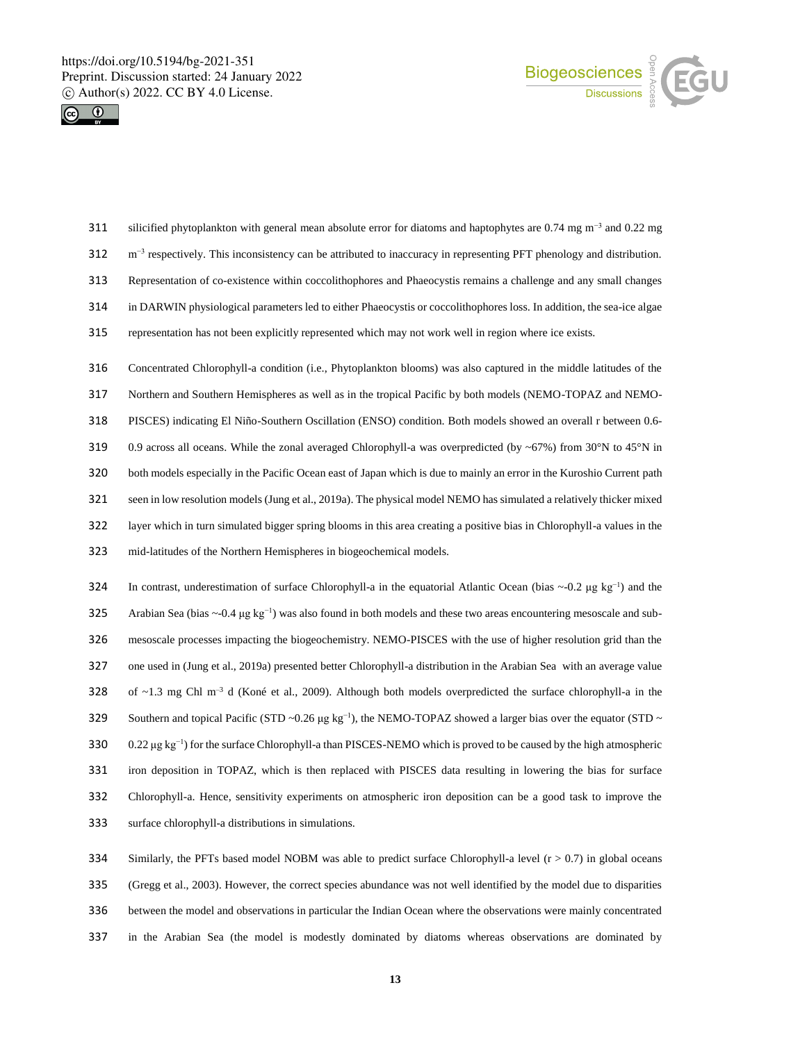



- silicified phytoplankton with general mean absolute error for diatoms and haptophytes are  $0.74$  mg m<sup>-3</sup> and 0.22 mg 312  $\text{m}^{-3}$  respectively. This inconsistency can be attributed to inaccuracy in representing PFT phenology and distribution. Representation of co-existence within coccolithophores and Phaeocystis remains a challenge and any small changes in DARWIN physiological parameters led to either Phaeocystis or coccolithophores loss. In addition, the sea-ice algae representation has not been explicitly represented which may not work well in region where ice exists. Concentrated Chlorophyll-a condition (i.e., Phytoplankton blooms) was also captured in the middle latitudes of the Northern and Southern Hemispheres as well as in the tropical Pacific by both models (NEMO-TOPAZ and NEMO-PISCES) indicating El Niño-Southern Oscillation (ENSO) condition. Both models showed an overall r between 0.6-
- 319 0.9 across all oceans. While the zonal averaged Chlorophyll-a was overpredicted (by ~67%) from 30°N to 45°N in both models especially in the Pacific Ocean east of Japan which is due to mainly an error in the Kuroshio Current path seen in low resolution models (Jung et al., 2019a). The physical model NEMO has simulated a relatively thicker mixed layer which in turn simulated bigger spring blooms in this area creating a positive bias in Chlorophyll-a values in the mid-latitudes of the Northern Hemispheres in biogeochemical models.
- 324 In contrast, underestimation of surface Chlorophyll-a in the equatorial Atlantic Ocean (bias ~-0.2 μg kg<sup>-1</sup>) and the Arabian Sea (bias  $\sim$ -0.4 μg kg<sup>-1</sup>) was also found in both models and these two areas encountering mesoscale and sub- mesoscale processes impacting the biogeochemistry. NEMO-PISCES with the use of higher resolution grid than the one used in (Jung et al., 2019a) presented better Chlorophyll-a distribution in the Arabian Sea with an average value 328 of  $\sim$ 1.3 mg Chl m<sup>-3</sup> d (Koné et al., 2009). Although both models overpredicted the surface chlorophyll-a in the Southern and topical Pacific (STD ~0.26  $\mu$ g kg<sup>-1</sup>), the NEMO-TOPAZ showed a larger bias over the equator (STD ~ 330 0.22 μg kg<sup>-1</sup>) for the surface Chlorophyll-a than PISCES-NEMO which is proved to be caused by the high atmospheric iron deposition in TOPAZ, which is then replaced with PISCES data resulting in lowering the bias for surface Chlorophyll-a. Hence, sensitivity experiments on atmospheric iron deposition can be a good task to improve the surface chlorophyll-a distributions in simulations.
- Similarly, the PFTs based model NOBM was able to predict surface Chlorophyll-a level (r > 0.7) in global oceans (Gregg et al., 2003). However, the correct species abundance was not well identified by the model due to disparities between the model and observations in particular the Indian Ocean where the observations were mainly concentrated in the Arabian Sea (the model is modestly dominated by diatoms whereas observations are dominated by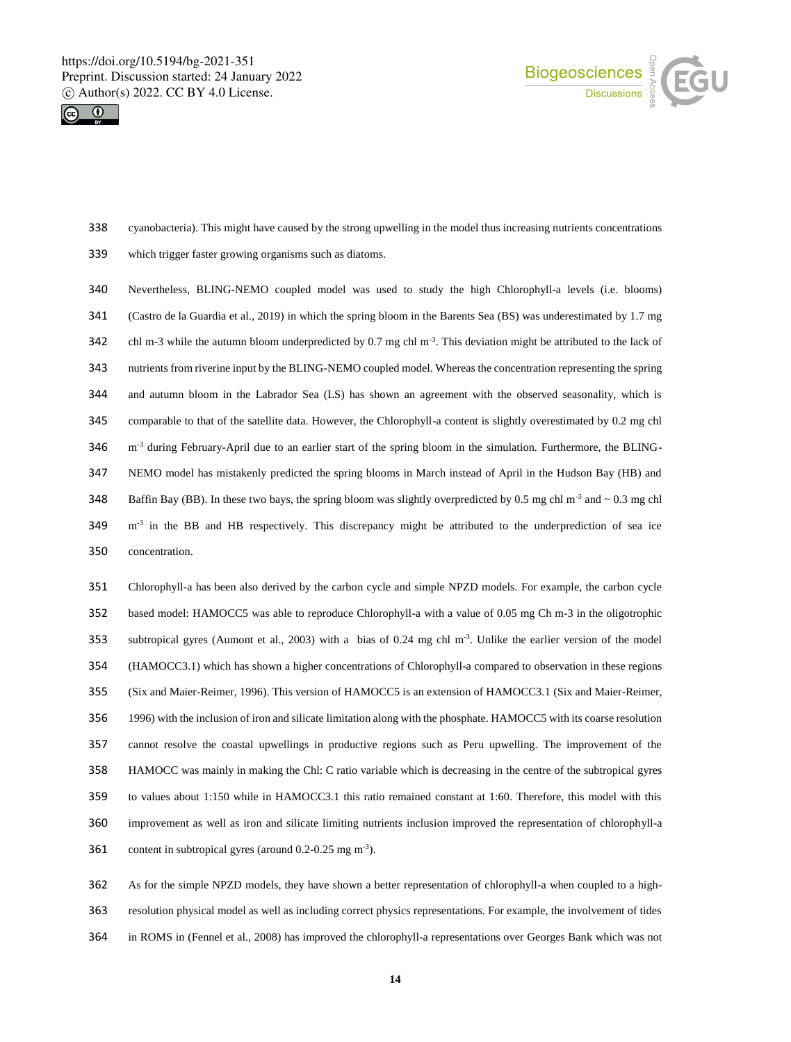



cyanobacteria). This might have caused by the strong upwelling in the model thus increasing nutrients concentrations

which trigger faster growing organisms such as diatoms.

 Nevertheless, BLING-NEMO coupled model was used to study the high Chlorophyll-a levels (i.e. blooms) (Castro de la Guardia et al., 2019) in which the spring bloom in the Barents Sea (BS) was underestimated by 1.7 mg 342 chl m-3 while the autumn bloom underpredicted by 0.7 mg chl m<sup>-3</sup>. This deviation might be attributed to the lack of nutrients from riverine input by the BLING-NEMO coupled model. Whereas the concentration representing the spring and autumn bloom in the Labrador Sea (LS) has shown an agreement with the observed seasonality, which is comparable to that of the satellite data. However, the Chlorophyll-a content is slightly overestimated by 0.2 mg chl m<sup>-3</sup> during February-April due to an earlier start of the spring bloom in the simulation. Furthermore, the BLING- NEMO model has mistakenly predicted the spring blooms in March instead of April in the Hudson Bay (HB) and 348 Baffin Bay (BB). In these two bays, the spring bloom was slightly overpredicted by 0.5 mg chl m<sup>-3</sup> and  $\sim$  0.3 mg chl  $\text{m}^3$  in the BB and HB respectively. This discrepancy might be attributed to the underprediction of sea ice concentration.

 Chlorophyll-a has been also derived by the carbon cycle and simple NPZD models. For example, the carbon cycle based model: HAMOCC5 was able to reproduce Chlorophyll-a with a value of 0.05 mg Ch m-3 in the oligotrophic 353 subtropical gyres (Aumont et al., 2003) with a bias of  $0.24 \text{ mg}$  chl m<sup>-3</sup>. Unlike the earlier version of the model (HAMOCC3.1) which has shown a higher concentrations of Chlorophyll-a compared to observation in these regions (Six and Maier-Reimer, 1996). This version of HAMOCC5 is an extension of HAMOCC3.1 (Six and Maier-Reimer, 1996) with the inclusion of iron and silicate limitation along with the phosphate. HAMOCC5 with its coarse resolution cannot resolve the coastal upwellings in productive regions such as Peru upwelling. The improvement of the HAMOCC was mainly in making the Chl: C ratio variable which is decreasing in the centre of the subtropical gyres to values about 1:150 while in HAMOCC3.1 this ratio remained constant at 1:60. Therefore, this model with this improvement as well as iron and silicate limiting nutrients inclusion improved the representation of chlorophyll-a 361 content in subtropical gyres (around  $0.2$ -0.25 mg m<sup>-3</sup>).

 As for the simple NPZD models, they have shown a better representation of chlorophyll-a when coupled to a high- resolution physical model as well as including correct physics representations. For example, the involvement of tides in ROMS in (Fennel et al., 2008) has improved the chlorophyll-a representations over Georges Bank which was not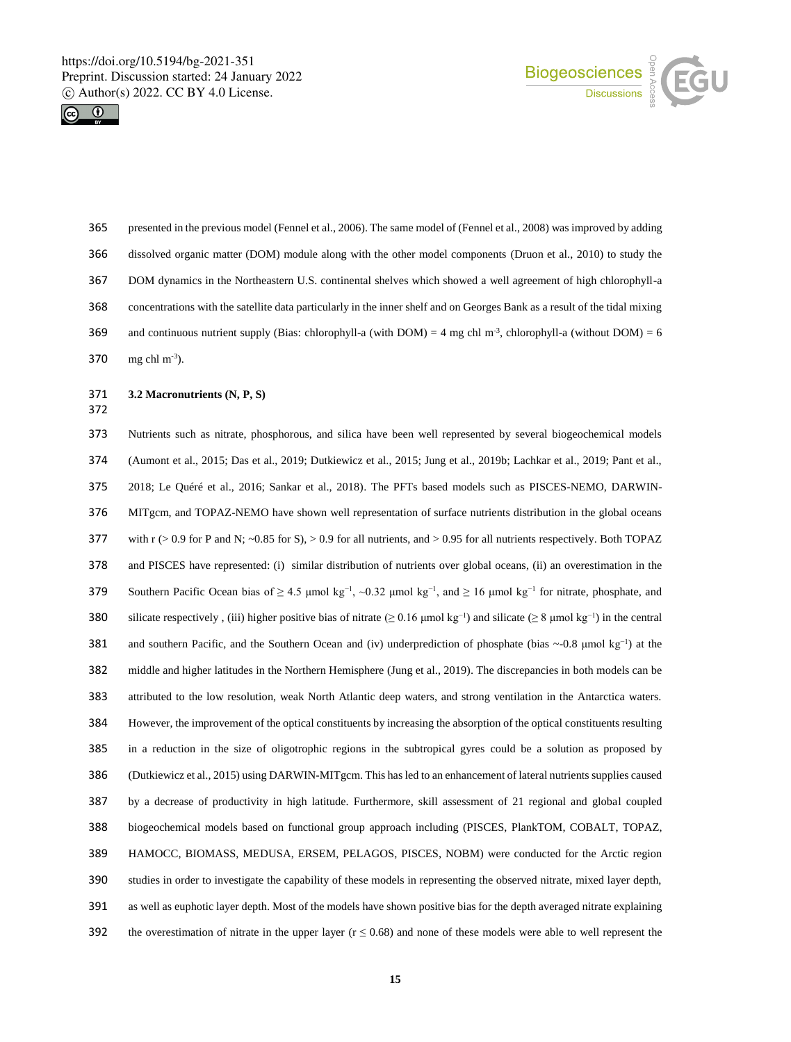



- presented in the previous model (Fennel et al., 2006). The same model of (Fennel et al., 2008) was improved by adding dissolved organic matter (DOM) module along with the other model components (Druon et al., 2010) to study the DOM dynamics in the Northeastern U.S. continental shelves which showed a well agreement of high chlorophyll-a concentrations with the satellite data particularly in the inner shelf and on Georges Bank as a result of the tidal mixing 369 and continuous nutrient supply (Bias: chlorophyll-a (with DOM) = 4 mg chl m<sup>-3</sup>, chlorophyll-a (without DOM) = 6 370  $\text{mg chl m}^{-3}$ ).
- **3.2 Macronutrients (N, P, S)**
- 

 Nutrients such as nitrate, phosphorous, and silica have been well represented by several biogeochemical models (Aumont et al., 2015; Das et al., 2019; Dutkiewicz et al., 2015; Jung et al., 2019b; Lachkar et al., 2019; Pant et al., 2018; Le Quéré et al., 2016; Sankar et al., 2018). The PFTs based models such as PISCES-NEMO, DARWIN- MITgcm, and TOPAZ-NEMO have shown well representation of surface nutrients distribution in the global oceans 377 with  $r > 0.9$  for P and N; ~0.85 for S),  $> 0.9$  for all nutrients, and  $> 0.95$  for all nutrients respectively. Both TOPAZ and PISCES have represented: (i) similar distribution of nutrients over global oceans, (ii) an overestimation in the Southern Pacific Ocean bias of ≥ 4.5 μmol kg<sup>-1</sup>, ~0.32 μmol kg<sup>-1</sup>, and ≥ 16 μmol kg<sup>-1</sup> for nitrate, phosphate, and 380 silicate respectively, (iii) higher positive bias of nitrate (≥ 0.16 μmol kg<sup>-1</sup>) and silicate (≥ 8 μmol kg<sup>-1</sup>) in the central and southern Pacific, and the Southern Ocean and (iv) underprediction of phosphate (bias ~-0.8 μmol kg<sup>-1</sup>) at the middle and higher latitudes in the Northern Hemisphere (Jung et al., 2019). The discrepancies in both models can be attributed to the low resolution, weak North Atlantic deep waters, and strong ventilation in the Antarctica waters. However, the improvement of the optical constituents by increasing the absorption of the optical constituents resulting in a reduction in the size of oligotrophic regions in the subtropical gyres could be a solution as proposed by (Dutkiewicz et al., 2015) using DARWIN-MITgcm. This hasled to an enhancement of lateral nutrients supplies caused by a decrease of productivity in high latitude. Furthermore, skill assessment of 21 regional and global coupled biogeochemical models based on functional group approach including (PISCES, PlankTOM, COBALT, TOPAZ, HAMOCC, BIOMASS, MEDUSA, ERSEM, PELAGOS, PISCES, NOBM) were conducted for the Arctic region studies in order to investigate the capability of these models in representing the observed nitrate, mixed layer depth, as well as euphotic layer depth. Most of the models have shown positive bias for the depth averaged nitrate explaining 392 the overestimation of nitrate in the upper layer ( $r \le 0.68$ ) and none of these models were able to well represent the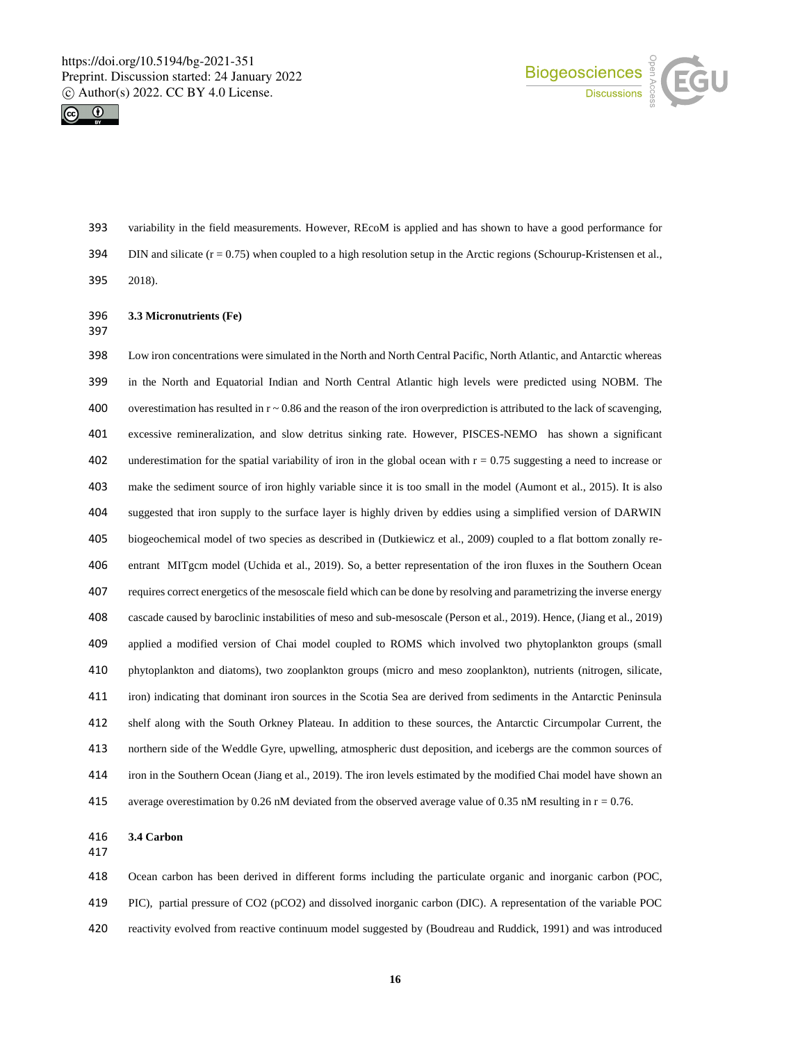



- variability in the field measurements. However, REcoM is applied and has shown to have a good performance for 394 DIN and silicate  $(r = 0.75)$  when coupled to a high resolution setup in the Arctic regions (Schourup-Kristensen et al.,
- 2018).
- **3.3 Micronutrients (Fe)**
- 

 Low iron concentrations were simulated in the North and North Central Pacific, North Atlantic, and Antarctic whereas in the North and Equatorial Indian and North Central Atlantic high levels were predicted using NOBM. The 400 overestimation has resulted in  $r \sim 0.86$  and the reason of the iron overprediction is attributed to the lack of scavenging, excessive remineralization, and slow detritus sinking rate. However, PISCES-NEMO has shown a significant 402 underestimation for the spatial variability of iron in the global ocean with  $r = 0.75$  suggesting a need to increase or make the sediment source of iron highly variable since it is too small in the model (Aumont et al., 2015). It is also suggested that iron supply to the surface layer is highly driven by eddies using a simplified version of DARWIN biogeochemical model of two species as described in (Dutkiewicz et al., 2009) coupled to a flat bottom zonally re- entrant MITgcm model (Uchida et al., 2019). So, a better representation of the iron fluxes in the Southern Ocean requires correct energetics of the mesoscale field which can be done by resolving and parametrizing the inverse energy cascade caused by baroclinic instabilities of meso and sub-mesoscale (Person et al., 2019). Hence, (Jiang et al., 2019) applied a modified version of Chai model coupled to ROMS which involved two phytoplankton groups (small phytoplankton and diatoms), two zooplankton groups (micro and meso zooplankton), nutrients (nitrogen, silicate, iron) indicating that dominant iron sources in the Scotia Sea are derived from sediments in the Antarctic Peninsula shelf along with the South Orkney Plateau. In addition to these sources, the Antarctic Circumpolar Current, the northern side of the Weddle Gyre, upwelling, atmospheric dust deposition, and icebergs are the common sources of iron in the Southern Ocean (Jiang et al., 2019). The iron levels estimated by the modified Chai model have shown an average overestimation by 0.26 nM deviated from the observed average value of 0.35 nM resulting in r = 0.76.

**3.4 Carbon**

 Ocean carbon has been derived in different forms including the particulate organic and inorganic carbon (POC, PIC), partial pressure of CO2 (pCO2) and dissolved inorganic carbon (DIC). A representation of the variable POC reactivity evolved from reactive continuum model suggested by (Boudreau and Ruddick, 1991) and was introduced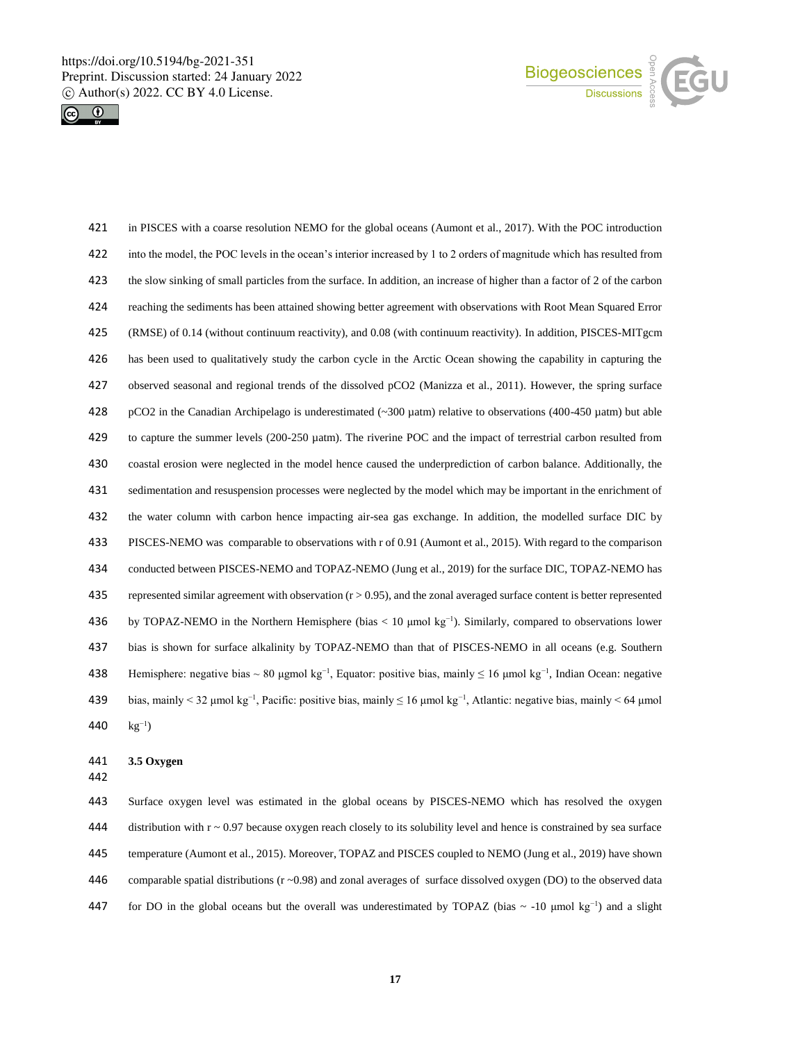



 in PISCES with a coarse resolution NEMO for the global oceans (Aumont et al., 2017). With the POC introduction into the model, the POC levels in the ocean's interior increased by 1 to 2 orders of magnitude which has resulted from the slow sinking of small particles from the surface. In addition, an increase of higher than a factor of 2 of the carbon reaching the sediments has been attained showing better agreement with observations with Root Mean Squared Error (RMSE) of 0.14 (without continuum reactivity), and 0.08 (with continuum reactivity). In addition, PISCES-MITgcm has been used to qualitatively study the carbon cycle in the Arctic Ocean showing the capability in capturing the observed seasonal and regional trends of the dissolved pCO2 (Manizza et al., 2011). However, the spring surface pCO2 in the Canadian Archipelago is underestimated (~300 µatm) relative to observations (400-450 µatm) but able to capture the summer levels (200-250 µatm). The riverine POC and the impact of terrestrial carbon resulted from coastal erosion were neglected in the model hence caused the underprediction of carbon balance. Additionally, the sedimentation and resuspension processes were neglected by the model which may be important in the enrichment of the water column with carbon hence impacting air-sea gas exchange. In addition, the modelled surface DIC by PISCES-NEMO was comparable to observations with r of 0.91 (Aumont et al., 2015). With regard to the comparison conducted between PISCES-NEMO and TOPAZ-NEMO (Jung et al., 2019) for the surface DIC, TOPAZ-NEMO has 435 represented similar agreement with observation  $(r > 0.95)$ , and the zonal averaged surface content is better represented 436 by TOPAZ-NEMO in the Northern Hemisphere (bias < 10 μmol kg<sup>-1</sup>). Similarly, compared to observations lower bias is shown for surface alkalinity by TOPAZ-NEMO than that of PISCES-NEMO in all oceans (e.g. Southern Hemisphere: negative bias ~ 80 μgmol kg<sup>-1</sup>, Equator: positive bias, mainly ≤ 16 μmol kg<sup>-1</sup>, Indian Ocean: negative bias, mainly < 32 μmol kg−1, Pacific: positive bias, mainly ≤ 16 μmol kg−1 , Atlantic: negative bias, mainly < 64 μmol 440  $kg^{-1}$ )

#### **3.5 Oxygen**

 Surface oxygen level was estimated in the global oceans by PISCES-NEMO which has resolved the oxygen 444 distribution with  $r \sim 0.97$  because oxygen reach closely to its solubility level and hence is constrained by sea surface temperature (Aumont et al., 2015). Moreover, TOPAZ and PISCES coupled to NEMO (Jung et al., 2019) have shown 446 comparable spatial distributions  $(r \sim 0.98)$  and zonal averages of surface dissolved oxygen (DO) to the observed data 447 for DO in the global oceans but the overall was underestimated by TOPAZ (bias  $\sim$  -10 µmol kg<sup>-1</sup>) and a slight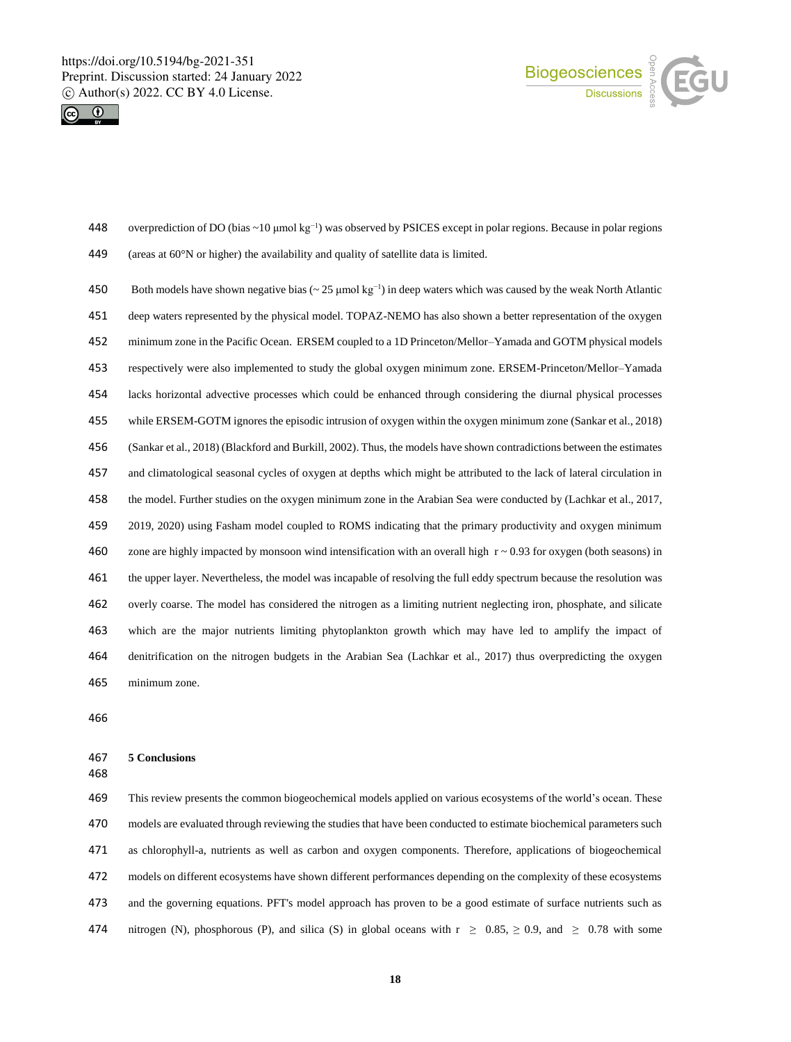



- overprediction of DO (bias ~10 μmol kg−1 ) was observed by PSICES except in polar regions. Because in polar regions (areas at 60°N or higher) the availability and quality of satellite data is limited.
- Both models have shown negative bias (~ 25 μmol kg<sup>-1</sup>) in deep waters which was caused by the weak North Atlantic deep waters represented by the physical model. TOPAZ-NEMO has also shown a better representation of the oxygen minimum zone in the Pacific Ocean. ERSEM coupled to a 1D Princeton/Mellor–Yamada and GOTM physical models respectively were also implemented to study the global oxygen minimum zone. ERSEM-Princeton/Mellor–Yamada lacks horizontal advective processes which could be enhanced through considering the diurnal physical processes while ERSEM-GOTM ignores the episodic intrusion of oxygen within the oxygen minimum zone (Sankar et al., 2018) (Sankar et al., 2018) (Blackford and Burkill, 2002). Thus, the models have shown contradictions between the estimates and climatological seasonal cycles of oxygen at depths which might be attributed to the lack of lateral circulation in the model. Further studies on the oxygen minimum zone in the Arabian Sea were conducted by (Lachkar et al., 2017, 2019, 2020) using Fasham model coupled to ROMS indicating that the primary productivity and oxygen minimum 460 zone are highly impacted by monsoon wind intensification with an overall high  $r \sim 0.93$  for oxygen (both seasons) in the upper layer. Nevertheless, the model was incapable of resolving the full eddy spectrum because the resolution was overly coarse. The model has considered the nitrogen as a limiting nutrient neglecting iron, phosphate, and silicate which are the major nutrients limiting phytoplankton growth which may have led to amplify the impact of denitrification on the nitrogen budgets in the Arabian Sea (Lachkar et al., 2017) thus overpredicting the oxygen minimum zone.

### **5 Conclusions**

 This review presents the common biogeochemical models applied on various ecosystems of the world's ocean. These models are evaluated through reviewing the studies that have been conducted to estimate biochemical parameters such as chlorophyll-a, nutrients as well as carbon and oxygen components. Therefore, applications of biogeochemical models on different ecosystems have shown different performances depending on the complexity of these ecosystems and the governing equations. PFT's model approach has proven to be a good estimate of surface nutrients such as 474 nitrogen (N), phosphorous (P), and silica (S) in global oceans with  $r \ge 0.85$ ,  $\ge 0.9$ , and  $\ge 0.78$  with some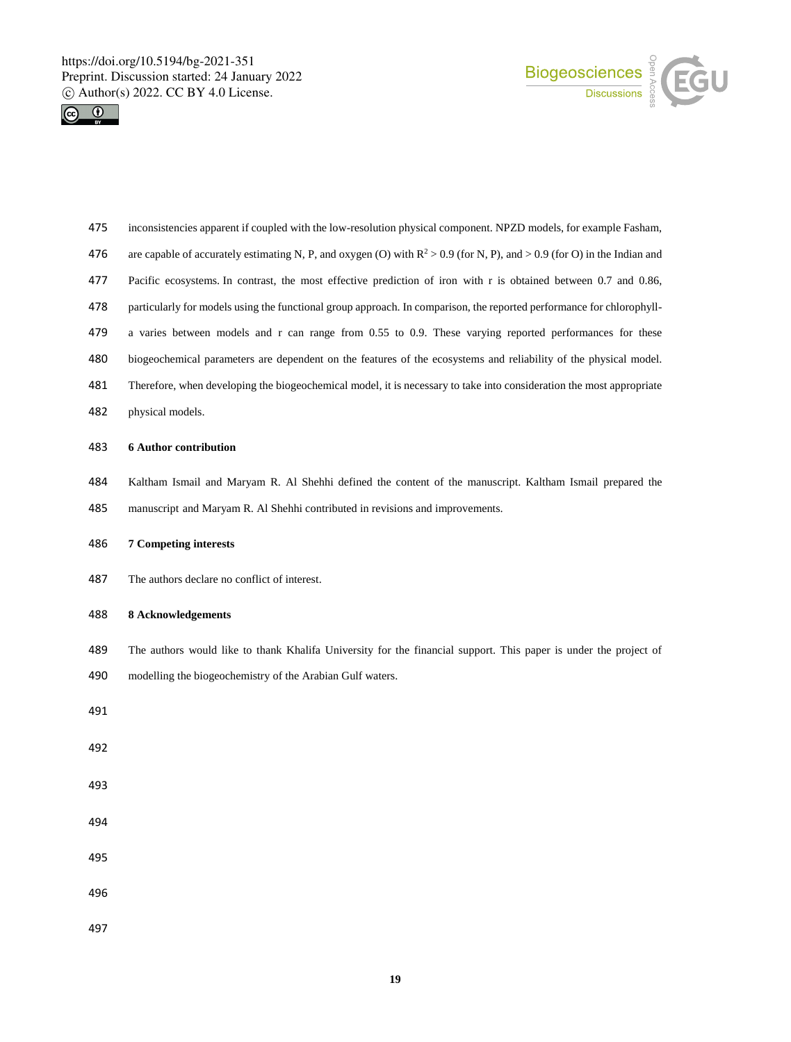



- inconsistencies apparent if coupled with the low-resolution physical component. NPZD models, for example Fasham,
- 476 are capable of accurately estimating N, P, and oxygen (O) with  $R^2 > 0.9$  (for N, P), and  $> 0.9$  (for O) in the Indian and
- Pacific ecosystems. In contrast, the most effective prediction of iron with r is obtained between 0.7 and 0.86,
- particularly for models using the functional group approach. In comparison, the reported performance for chlorophyll-
- 479 a varies between models and r can range from 0.55 to 0.9. These varying reported performances for these
- biogeochemical parameters are dependent on the features of the ecosystems and reliability of the physical model.
- Therefore, when developing the biogeochemical model, it is necessary to take into consideration the most appropriate
- physical models.

#### **6 Author contribution**

- Kaltham Ismail and Maryam R. Al Shehhi defined the content of the manuscript. Kaltham Ismail prepared the
- manuscript and Maryam R. Al Shehhi contributed in revisions and improvements.
- **7 Competing interests**
- The authors declare no conflict of interest.
- **8 Acknowledgements**
- The authors would like to thank Khalifa University for the financial support. This paper is under the project of
- modelling the biogeochemistry of the Arabian Gulf waters.
- 
- 
- 
- 
- 
- 
-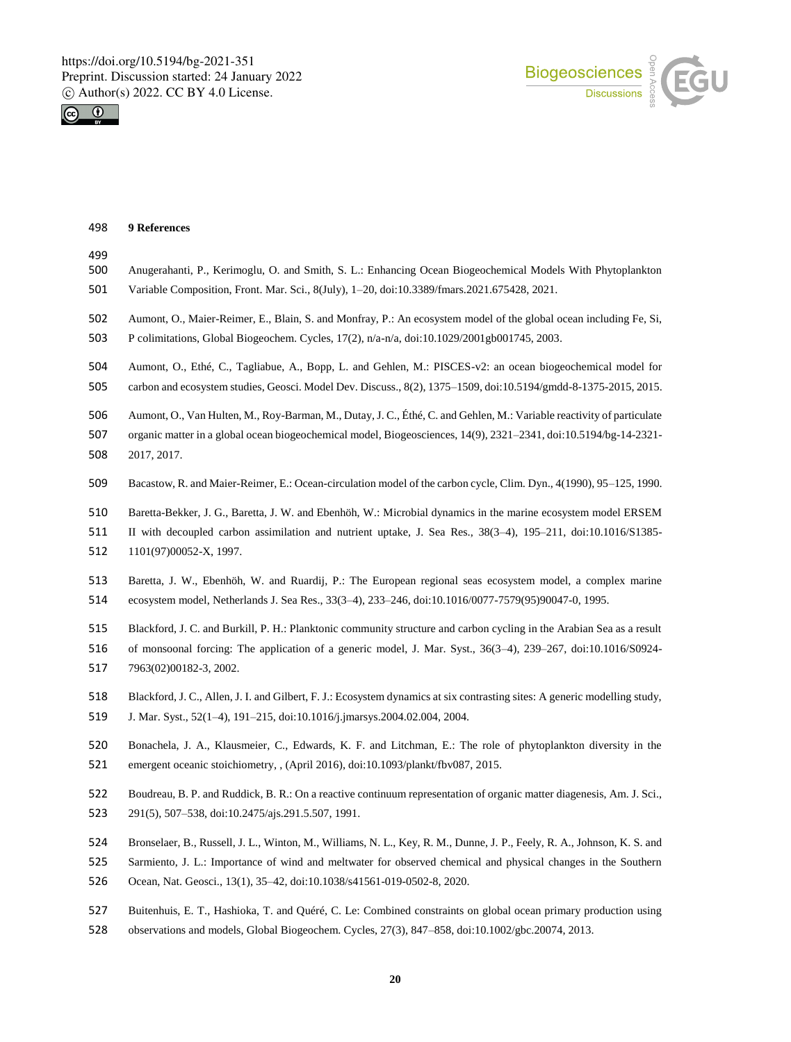



### **9 References**

| 499<br>500<br>501 | Anugerahanti, P., Kerimoglu, O. and Smith, S. L.: Enhancing Ocean Biogeochemical Models With Phytoplankton<br>Variable Composition, Front. Mar. Sci., 8(July), 1–20, doi:10.3389/fmars.2021.675428, 2021. |
|-------------------|-----------------------------------------------------------------------------------------------------------------------------------------------------------------------------------------------------------|
| 502               | Aumont, O., Maier-Reimer, E., Blain, S. and Monfray, P.: An ecosystem model of the global ocean including Fe, Si,                                                                                         |
| 503               | P colimitations, Global Biogeochem. Cycles, $17(2)$ , $n/a-n/a$ , doi:10.1029/2001gb001745, 2003.                                                                                                         |
| 504               | Aumont, O., Ethé, C., Tagliabue, A., Bopp, L. and Gehlen, M.: PISCES-v2: an ocean biogeochemical model for                                                                                                |
| 505               | carbon and ecosystem studies, Geosci. Model Dev. Discuss., 8(2), 1375–1509, doi:10.5194/gmdd-8-1375-2015, 2015.                                                                                           |
| 506               | Aumont, O., Van Hulten, M., Roy-Barman, M., Dutay, J. C., Éthé, C. and Gehlen, M.: Variable reactivity of particulate                                                                                     |
| 507               | organic matter in a global ocean biogeochemical model, Biogeosciences, 14(9), 2321-2341, doi:10.5194/bg-14-2321-                                                                                          |
| 508               | 2017, 2017.                                                                                                                                                                                               |
| 509               | Bacastow, R. and Maier-Reimer, E.: Ocean-circulation model of the carbon cycle, Clim. Dyn., 4(1990), 95–125, 1990.                                                                                        |
| 510               | Baretta-Bekker, J. G., Baretta, J. W. and Ebenhöh, W.: Microbial dynamics in the marine ecosystem model ERSEM                                                                                             |
| 511               | II with decoupled carbon assimilation and nutrient uptake, J. Sea Res., 38(3–4), 195–211, doi:10.1016/S1385–                                                                                              |
| 512               | 1101(97)00052-X, 1997.                                                                                                                                                                                    |
| 513               | Baretta, J. W., Ebenhöh, W. and Ruardij, P.: The European regional seas ecosystem model, a complex marine                                                                                                 |
| 514               | ecosystem model, Netherlands J. Sea Res., 33(3–4), 233–246, doi:10.1016/0077-7579(95)90047-0, 1995.                                                                                                       |
| 515               | Blackford, J. C. and Burkill, P. H.: Planktonic community structure and carbon cycling in the Arabian Sea as a result                                                                                     |
| 516               | of monsoonal forcing: The application of a generic model, J. Mar. Syst., $36(3-4)$ , $239-267$ , $\text{doi10.1016/S0924}$ -                                                                              |
| 517               | 7963(02)00182-3, 2002.                                                                                                                                                                                    |
| 518               | Blackford, J. C., Allen, J. I. and Gilbert, F. J.: Ecosystem dynamics at six contrasting sites: A generic modelling study,                                                                                |
| 519               | J. Mar. Syst., 52(1–4), 191–215, doi:10.1016/j.jmarsys.2004.02.004, 2004.                                                                                                                                 |
| 520               | Bonachela, J. A., Klausmeier, C., Edwards, K. F. and Litchman, E.: The role of phytoplankton diversity in the                                                                                             |
| 521               | emergent oceanic stoichiometry, , (April 2016), doi:10.1093/plankt/fbv087, 2015.                                                                                                                          |
| 522               | Boudreau, B. P. and Ruddick, B. R.: On a reactive continuum representation of organic matter diagenesis, Am. J. Sci.,                                                                                     |
| 523               | 291(5), 507–538, doi:10.2475/ajs.291.5.507, 1991.                                                                                                                                                         |
| 524               | Bronselaer, B., Russell, J. L., Winton, M., Williams, N. L., Key, R. M., Dunne, J. P., Feely, R. A., Johnson, K. S. and                                                                                   |
| 525               | Sarmiento, J. L.: Importance of wind and meltwater for observed chemical and physical changes in the Southern                                                                                             |
| 526               | Ocean, Nat. Geosci., 13(1), 35–42, doi:10.1038/s41561-019-0502-8, 2020.                                                                                                                                   |
| 527               | Buitenhuis, E. T., Hashioka, T. and Quéré, C. Le: Combined constraints on global ocean primary production using                                                                                           |
| 528               | observations and models, Global Biogeochem. Cycles, 27(3), 847-858, doi:10.1002/gbc.20074, 2013.                                                                                                          |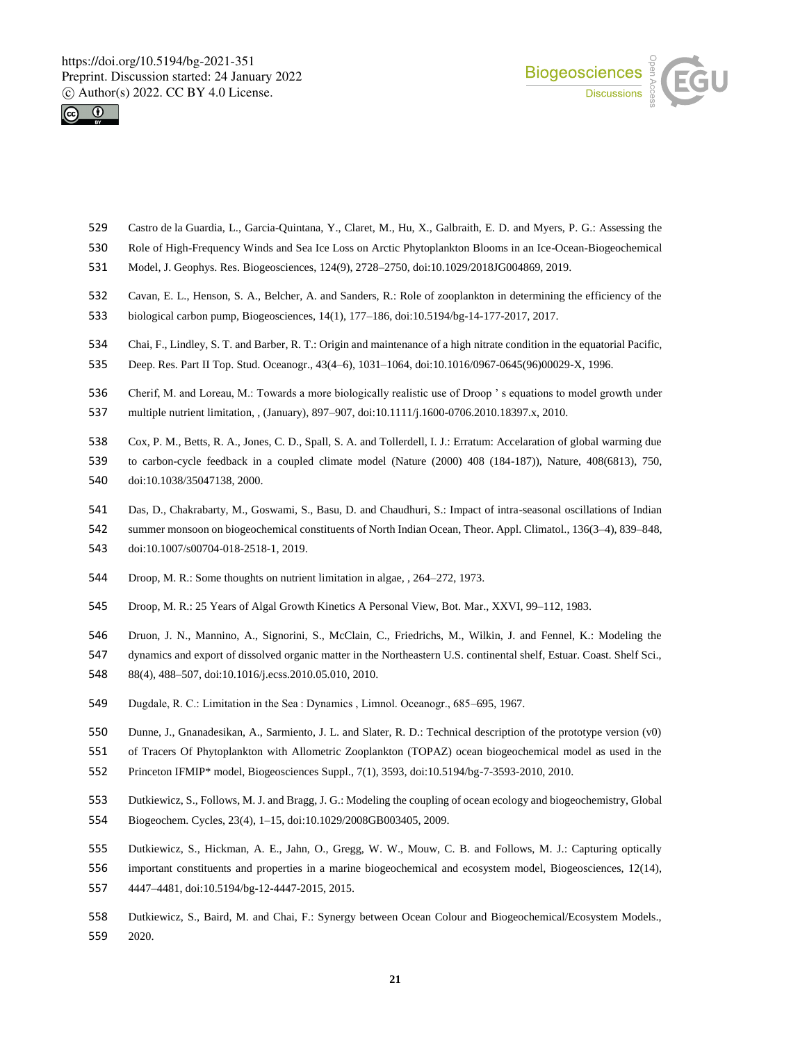



- Castro de la Guardia, L., Garcia-Quintana, Y., Claret, M., Hu, X., Galbraith, E. D. and Myers, P. G.: Assessing the
- Role of High-Frequency Winds and Sea Ice Loss on Arctic Phytoplankton Blooms in an Ice-Ocean-Biogeochemical
- Model, J. Geophys. Res. Biogeosciences, 124(9), 2728–2750, doi:10.1029/2018JG004869, 2019.
- Cavan, E. L., Henson, S. A., Belcher, A. and Sanders, R.: Role of zooplankton in determining the efficiency of the
- biological carbon pump, Biogeosciences, 14(1), 177–186, doi:10.5194/bg-14-177-2017, 2017.
- Chai, F., Lindley, S. T. and Barber, R. T.: Origin and maintenance of a high nitrate condition in the equatorial Pacific,
- Deep. Res. Part II Top. Stud. Oceanogr., 43(4–6), 1031–1064, doi:10.1016/0967-0645(96)00029-X, 1996.
- Cherif, M. and Loreau, M.: Towards a more biologically realistic use of Droop ' s equations to model growth under
- multiple nutrient limitation, , (January), 897–907, doi:10.1111/j.1600-0706.2010.18397.x, 2010.
- Cox, P. M., Betts, R. A., Jones, C. D., Spall, S. A. and Tollerdell, I. J.: Erratum: Accelaration of global warming due
- to carbon-cycle feedback in a coupled climate model (Nature (2000) 408 (184-187)), Nature, 408(6813), 750,
- doi:10.1038/35047138, 2000.
- Das, D., Chakrabarty, M., Goswami, S., Basu, D. and Chaudhuri, S.: Impact of intra-seasonal oscillations of Indian
- summer monsoon on biogeochemical constituents of North Indian Ocean, Theor. Appl. Climatol., 136(3–4), 839–848,
- doi:10.1007/s00704-018-2518-1, 2019.
- Droop, M. R.: Some thoughts on nutrient limitation in algae, , 264–272, 1973.
- Droop, M. R.: 25 Years of Algal Growth Kinetics A Personal View, Bot. Mar., XXVI, 99–112, 1983.
- Druon, J. N., Mannino, A., Signorini, S., McClain, C., Friedrichs, M., Wilkin, J. and Fennel, K.: Modeling the
- dynamics and export of dissolved organic matter in the Northeastern U.S. continental shelf, Estuar. Coast. Shelf Sci.,
- 88(4), 488–507, doi:10.1016/j.ecss.2010.05.010, 2010.
- Dugdale, R. C.: Limitation in the Sea : Dynamics , Limnol. Oceanogr., 685–695, 1967.
- Dunne, J., Gnanadesikan, A., Sarmiento, J. L. and Slater, R. D.: Technical description of the prototype version (v0)
- of Tracers Of Phytoplankton with Allometric Zooplankton (TOPAZ) ocean biogeochemical model as used in the
- Princeton IFMIP\* model, Biogeosciences Suppl., 7(1), 3593, doi:10.5194/bg-7-3593-2010, 2010.
- Dutkiewicz, S., Follows, M. J. and Bragg, J. G.: Modeling the coupling of ocean ecology and biogeochemistry, Global
- Biogeochem. Cycles, 23(4), 1–15, doi:10.1029/2008GB003405, 2009.
- Dutkiewicz, S., Hickman, A. E., Jahn, O., Gregg, W. W., Mouw, C. B. and Follows, M. J.: Capturing optically
- important constituents and properties in a marine biogeochemical and ecosystem model, Biogeosciences, 12(14),
- 4447–4481, doi:10.5194/bg-12-4447-2015, 2015.
- Dutkiewicz, S., Baird, M. and Chai, F.: Synergy between Ocean Colour and Biogeochemical/Ecosystem Models., 2020.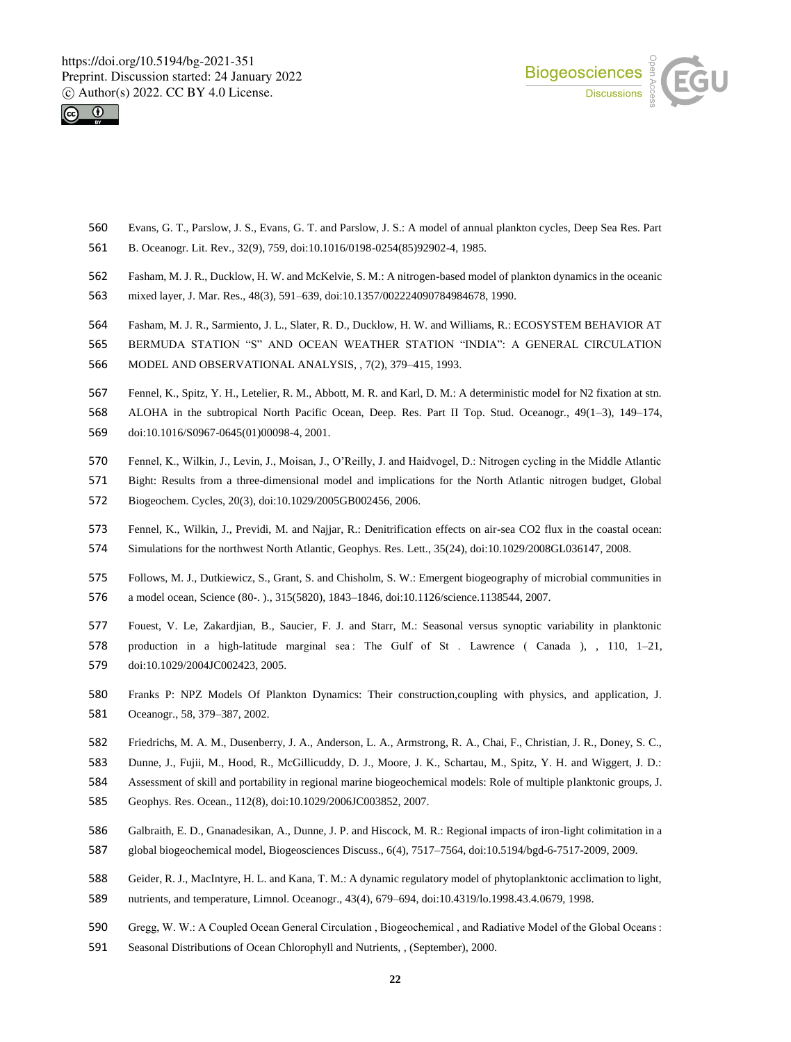



- Evans, G. T., Parslow, J. S., Evans, G. T. and Parslow, J. S.: A model of annual plankton cycles, Deep Sea Res. Part
- B. Oceanogr. Lit. Rev., 32(9), 759, doi:10.1016/0198-0254(85)92902-4, 1985.
- Fasham, M. J. R., Ducklow, H. W. and McKelvie, S. M.: A nitrogen-based model of plankton dynamics in the oceanic
- mixed layer, J. Mar. Res., 48(3), 591–639, doi:10.1357/002224090784984678, 1990.
- Fasham, M. J. R., Sarmiento, J. L., Slater, R. D., Ducklow, H. W. and Williams, R.: ECOSYSTEM BEHAVIOR AT
- BERMUDA STATION "S" AND OCEAN WEATHER STATION "INDIA": A GENERAL CIRCULATION
- MODEL AND OBSERVATIONAL ANALYSIS, , 7(2), 379–415, 1993.
- Fennel, K., Spitz, Y. H., Letelier, R. M., Abbott, M. R. and Karl, D. M.: A deterministic model for N2 fixation at stn.
- ALOHA in the subtropical North Pacific Ocean, Deep. Res. Part II Top. Stud. Oceanogr., 49(1–3), 149–174,
- doi:10.1016/S0967-0645(01)00098-4, 2001.
- Fennel, K., Wilkin, J., Levin, J., Moisan, J., O'Reilly, J. and Haidvogel, D.: Nitrogen cycling in the Middle Atlantic
- Bight: Results from a three-dimensional model and implications for the North Atlantic nitrogen budget, Global
- Biogeochem. Cycles, 20(3), doi:10.1029/2005GB002456, 2006.
- Fennel, K., Wilkin, J., Previdi, M. and Najjar, R.: Denitrification effects on air-sea CO2 flux in the coastal ocean:
- Simulations for the northwest North Atlantic, Geophys. Res. Lett., 35(24), doi:10.1029/2008GL036147, 2008.
- Follows, M. J., Dutkiewicz, S., Grant, S. and Chisholm, S. W.: Emergent biogeography of microbial communities in a model ocean, Science (80-. )., 315(5820), 1843–1846, doi:10.1126/science.1138544, 2007.
- Fouest, V. Le, Zakardjian, B., Saucier, F. J. and Starr, M.: Seasonal versus synoptic variability in planktonic production in a high-latitude marginal sea : The Gulf of St . Lawrence ( Canada ), , 110, 1–21, doi:10.1029/2004JC002423, 2005.
- Franks P: NPZ Models Of Plankton Dynamics: Their construction,coupling with physics, and application, J. Oceanogr., 58, 379–387, 2002.
- Friedrichs, M. A. M., Dusenberry, J. A., Anderson, L. A., Armstrong, R. A., Chai, F., Christian, J. R., Doney, S. C.,
- Dunne, J., Fujii, M., Hood, R., McGillicuddy, D. J., Moore, J. K., Schartau, M., Spitz, Y. H. and Wiggert, J. D.:
- Assessment of skill and portability in regional marine biogeochemical models: Role of multiple planktonic groups, J.
- Geophys. Res. Ocean., 112(8), doi:10.1029/2006JC003852, 2007.
- Galbraith, E. D., Gnanadesikan, A., Dunne, J. P. and Hiscock, M. R.: Regional impacts of iron-light colimitation in a
- global biogeochemical model, Biogeosciences Discuss., 6(4), 7517–7564, doi:10.5194/bgd-6-7517-2009, 2009.
- Geider, R. J., MacIntyre, H. L. and Kana, T. M.: A dynamic regulatory model of phytoplanktonic acclimation to light,
- nutrients, and temperature, Limnol. Oceanogr., 43(4), 679–694, doi:10.4319/lo.1998.43.4.0679, 1998.
- Gregg, W. W.: A Coupled Ocean General Circulation , Biogeochemical , and Radiative Model of the Global Oceans :
- Seasonal Distributions of Ocean Chlorophyll and Nutrients, , (September), 2000.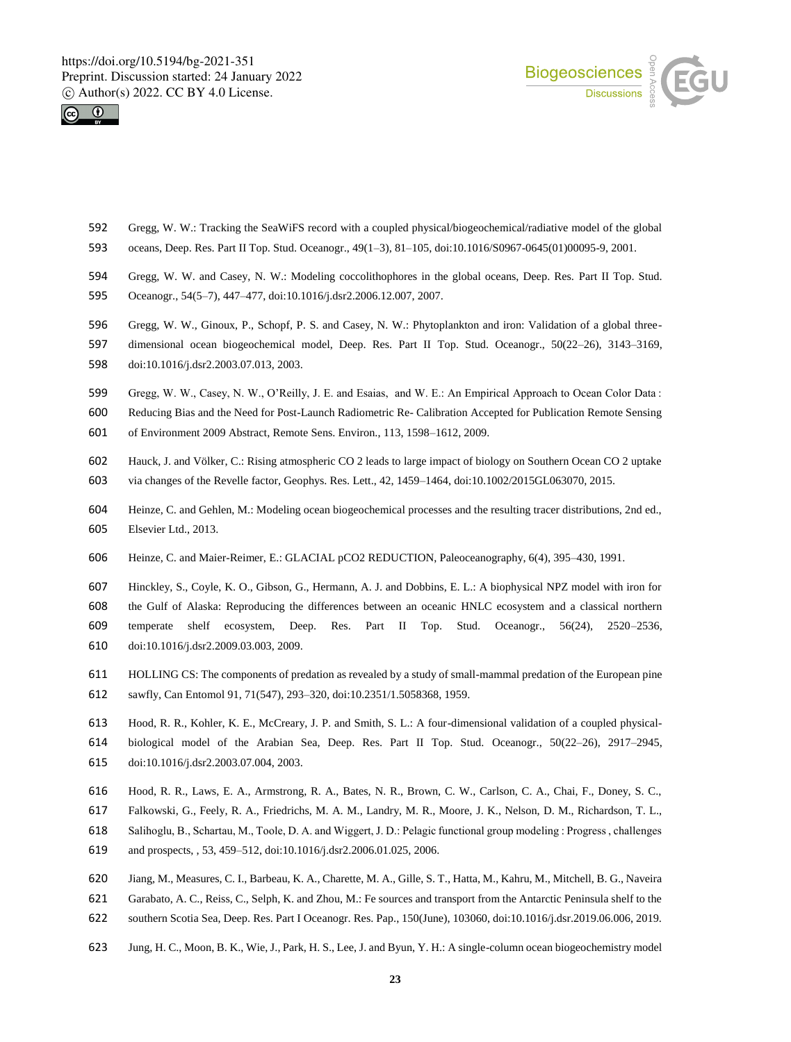



- Gregg, W. W.: Tracking the SeaWiFS record with a coupled physical/biogeochemical/radiative model of the global
- oceans, Deep. Res. Part II Top. Stud. Oceanogr., 49(1–3), 81–105, doi:10.1016/S0967-0645(01)00095-9, 2001.
- Gregg, W. W. and Casey, N. W.: Modeling coccolithophores in the global oceans, Deep. Res. Part II Top. Stud.
- Oceanogr., 54(5–7), 447–477, doi:10.1016/j.dsr2.2006.12.007, 2007.
- Gregg, W. W., Ginoux, P., Schopf, P. S. and Casey, N. W.: Phytoplankton and iron: Validation of a global three-
- dimensional ocean biogeochemical model, Deep. Res. Part II Top. Stud. Oceanogr., 50(22–26), 3143–3169, doi:10.1016/j.dsr2.2003.07.013, 2003.
- 
- Gregg, W. W., Casey, N. W., O'Reilly, J. E. and Esaias, and W. E.: An Empirical Approach to Ocean Color Data :
- Reducing Bias and the Need for Post-Launch Radiometric Re- Calibration Accepted for Publication Remote Sensing of Environment 2009 Abstract, Remote Sens. Environ., 113, 1598–1612, 2009.
- Hauck, J. and Völker, C.: Rising atmospheric CO 2 leads to large impact of biology on Southern Ocean CO 2 uptake
- via changes of the Revelle factor, Geophys. Res. Lett., 42, 1459–1464, doi:10.1002/2015GL063070, 2015.
- Heinze, C. and Gehlen, M.: Modeling ocean biogeochemical processes and the resulting tracer distributions, 2nd ed., Elsevier Ltd., 2013.
- Heinze, C. and Maier-Reimer, E.: GLACIAL pCO2 REDUCTION, Paleoceanography, 6(4), 395–430, 1991.
- Hinckley, S., Coyle, K. O., Gibson, G., Hermann, A. J. and Dobbins, E. L.: A biophysical NPZ model with iron for
- the Gulf of Alaska: Reproducing the differences between an oceanic HNLC ecosystem and a classical northern
- temperate shelf ecosystem, Deep. Res. Part II Top. Stud. Oceanogr., 56(24), 2520–2536, doi:10.1016/j.dsr2.2009.03.003, 2009.
- HOLLING CS: The components of predation as revealed by a study of small-mammal predation of the European pine sawfly, Can Entomol 91, 71(547), 293–320, doi:10.2351/1.5058368, 1959.
- Hood, R. R., Kohler, K. E., McCreary, J. P. and Smith, S. L.: A four-dimensional validation of a coupled physical- biological model of the Arabian Sea, Deep. Res. Part II Top. Stud. Oceanogr., 50(22–26), 2917–2945, doi:10.1016/j.dsr2.2003.07.004, 2003.
- Hood, R. R., Laws, E. A., Armstrong, R. A., Bates, N. R., Brown, C. W., Carlson, C. A., Chai, F., Doney, S. C.,
- Falkowski, G., Feely, R. A., Friedrichs, M. A. M., Landry, M. R., Moore, J. K., Nelson, D. M., Richardson, T. L.,
- Salihoglu, B., Schartau, M., Toole, D. A. and Wiggert, J. D.: Pelagic functional group modeling : Progress , challenges
- and prospects, , 53, 459–512, doi:10.1016/j.dsr2.2006.01.025, 2006.
- Jiang, M., Measures, C. I., Barbeau, K. A., Charette, M. A., Gille, S. T., Hatta, M., Kahru, M., Mitchell, B. G., Naveira
- Garabato, A. C., Reiss, C., Selph, K. and Zhou, M.: Fe sources and transport from the Antarctic Peninsula shelf to the
- southern Scotia Sea, Deep. Res. Part I Oceanogr. Res. Pap., 150(June), 103060, doi:10.1016/j.dsr.2019.06.006, 2019.
- Jung, H. C., Moon, B. K., Wie, J., Park, H. S., Lee, J. and Byun, Y. H.: A single-column ocean biogeochemistry model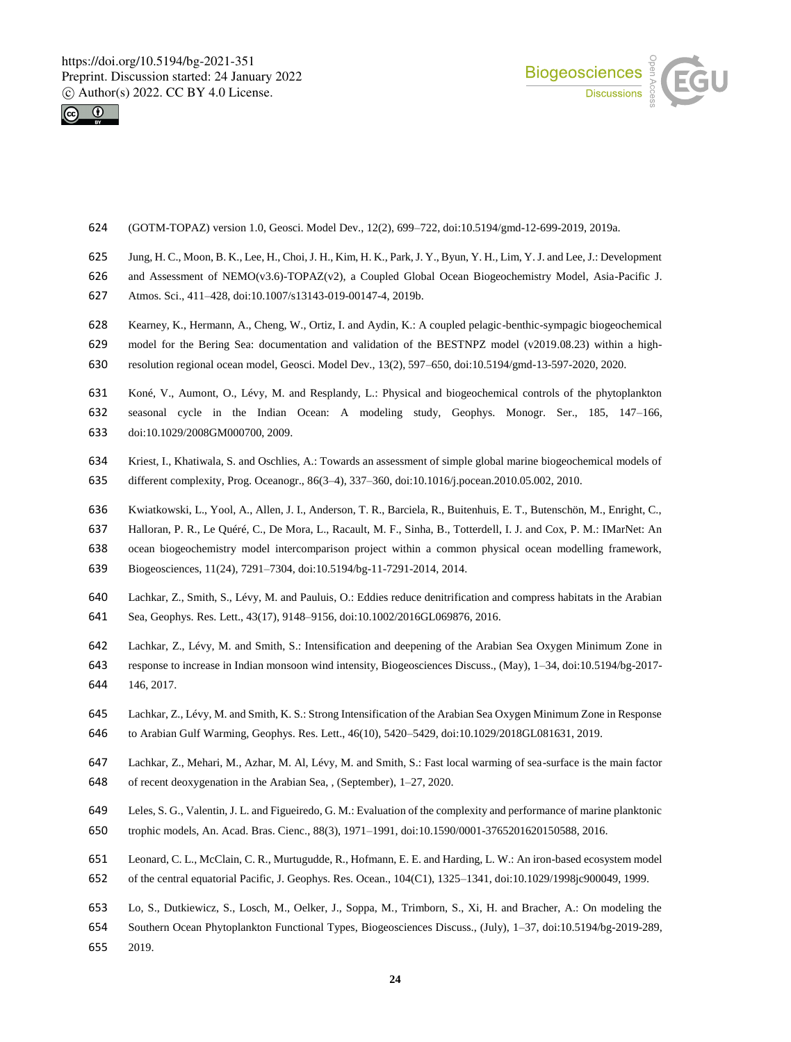



- (GOTM-TOPAZ) version 1.0, Geosci. Model Dev., 12(2), 699–722, doi:10.5194/gmd-12-699-2019, 2019a.
- Jung, H. C., Moon, B. K., Lee, H., Choi, J. H., Kim, H. K., Park, J. Y., Byun, Y. H., Lim, Y. J. and Lee, J.: Development
- and Assessment of NEMO(v3.6)-TOPAZ(v2), a Coupled Global Ocean Biogeochemistry Model, Asia-Pacific J.
- Atmos. Sci., 411–428, doi:10.1007/s13143-019-00147-4, 2019b.
- Kearney, K., Hermann, A., Cheng, W., Ortiz, I. and Aydin, K.: A coupled pelagic-benthic-sympagic biogeochemical
- model for the Bering Sea: documentation and validation of the BESTNPZ model (v2019.08.23) within a high-
- resolution regional ocean model, Geosci. Model Dev., 13(2), 597–650, doi:10.5194/gmd-13-597-2020, 2020.
- Koné, V., Aumont, O., Lévy, M. and Resplandy, L.: Physical and biogeochemical controls of the phytoplankton
- seasonal cycle in the Indian Ocean: A modeling study, Geophys. Monogr. Ser., 185, 147–166, doi:10.1029/2008GM000700, 2009.
- Kriest, I., Khatiwala, S. and Oschlies, A.: Towards an assessment of simple global marine biogeochemical models of different complexity, Prog. Oceanogr., 86(3–4), 337–360, doi:10.1016/j.pocean.2010.05.002, 2010.
- Kwiatkowski, L., Yool, A., Allen, J. I., Anderson, T. R., Barciela, R., Buitenhuis, E. T., Butenschön, M., Enright, C.,
- Halloran, P. R., Le Quéré, C., De Mora, L., Racault, M. F., Sinha, B., Totterdell, I. J. and Cox, P. M.: IMarNet: An
- ocean biogeochemistry model intercomparison project within a common physical ocean modelling framework,
- Biogeosciences, 11(24), 7291–7304, doi:10.5194/bg-11-7291-2014, 2014.
- Lachkar, Z., Smith, S., Lévy, M. and Pauluis, O.: Eddies reduce denitrification and compress habitats in the Arabian
- Sea, Geophys. Res. Lett., 43(17), 9148–9156, doi:10.1002/2016GL069876, 2016.
- Lachkar, Z., Lévy, M. and Smith, S.: Intensification and deepening of the Arabian Sea Oxygen Minimum Zone in
- response to increase in Indian monsoon wind intensity, Biogeosciences Discuss., (May), 1–34, doi:10.5194/bg-2017- 146, 2017.
- Lachkar, Z., Lévy, M. and Smith, K. S.: Strong Intensification of the Arabian Sea Oxygen Minimum Zone in Response to Arabian Gulf Warming, Geophys. Res. Lett., 46(10), 5420–5429, doi:10.1029/2018GL081631, 2019.
- Lachkar, Z., Mehari, M., Azhar, M. Al, Lévy, M. and Smith, S.: Fast local warming of sea-surface is the main factor of recent deoxygenation in the Arabian Sea, , (September), 1–27, 2020.
- Leles, S. G., Valentin, J. L. and Figueiredo, G. M.: Evaluation of the complexity and performance of marine planktonic
- trophic models, An. Acad. Bras. Cienc., 88(3), 1971–1991, doi:10.1590/0001-3765201620150588, 2016.
- Leonard, C. L., McClain, C. R., Murtugudde, R., Hofmann, E. E. and Harding, L. W.: An iron-based ecosystem model
- of the central equatorial Pacific, J. Geophys. Res. Ocean., 104(C1), 1325–1341, doi:10.1029/1998jc900049, 1999.
- Lo, S., Dutkiewicz, S., Losch, M., Oelker, J., Soppa, M., Trimborn, S., Xi, H. and Bracher, A.: On modeling the
- Southern Ocean Phytoplankton Functional Types, Biogeosciences Discuss., (July), 1–37, doi:10.5194/bg-2019-289, 2019.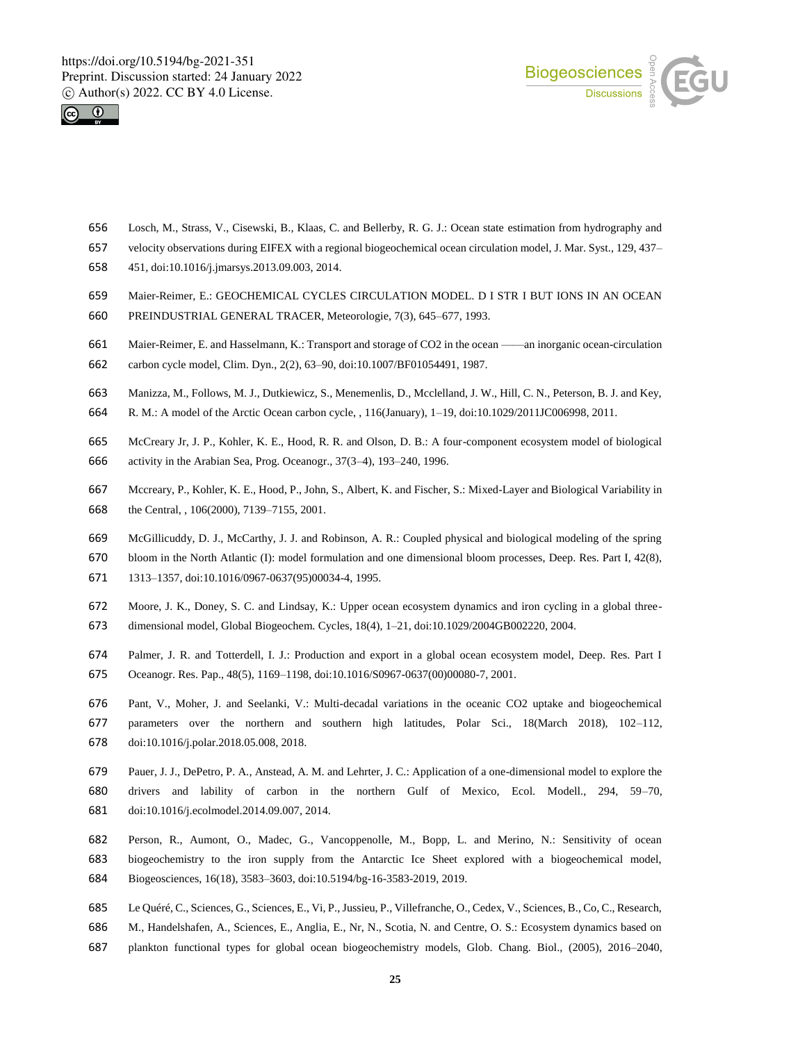



- Losch, M., Strass, V., Cisewski, B., Klaas, C. and Bellerby, R. G. J.: Ocean state estimation from hydrography and
- velocity observations during EIFEX with a regional biogeochemical ocean circulation model, J. Mar. Syst., 129, 437–
- 451, doi:10.1016/j.jmarsys.2013.09.003, 2014.
- Maier-Reimer, E.: GEOCHEMICAL CYCLES CIRCULATION MODEL. D I STR I BUT IONS IN AN OCEAN
- PREINDUSTRIAL GENERAL TRACER, Meteorologie, 7(3), 645–677, 1993.
- Maier-Reimer, E. and Hasselmann, K.: Transport and storage of CO2 in the ocean ——an inorganic ocean-circulation
- carbon cycle model, Clim. Dyn., 2(2), 63–90, doi:10.1007/BF01054491, 1987.
- Manizza, M., Follows, M. J., Dutkiewicz, S., Menemenlis, D., Mcclelland, J. W., Hill, C. N., Peterson, B. J. and Key,
- R. M.: A model of the Arctic Ocean carbon cycle, , 116(January), 1–19, doi:10.1029/2011JC006998, 2011.
- McCreary Jr, J. P., Kohler, K. E., Hood, R. R. and Olson, D. B.: A four-component ecosystem model of biological activity in the Arabian Sea, Prog. Oceanogr., 37(3–4), 193–240, 1996.
- Mccreary, P., Kohler, K. E., Hood, P., John, S., Albert, K. and Fischer, S.: Mixed-Layer and Biological Variability in the Central, , 106(2000), 7139–7155, 2001.
- McGillicuddy, D. J., McCarthy, J. J. and Robinson, A. R.: Coupled physical and biological modeling of the spring
- bloom in the North Atlantic (I): model formulation and one dimensional bloom processes, Deep. Res. Part I, 42(8),
- 1313–1357, doi:10.1016/0967-0637(95)00034-4, 1995.
- Moore, J. K., Doney, S. C. and Lindsay, K.: Upper ocean ecosystem dynamics and iron cycling in a global three-
- dimensional model, Global Biogeochem. Cycles, 18(4), 1–21, doi:10.1029/2004GB002220, 2004.
- Palmer, J. R. and Totterdell, I. J.: Production and export in a global ocean ecosystem model, Deep. Res. Part I
- Oceanogr. Res. Pap., 48(5), 1169–1198, doi:10.1016/S0967-0637(00)00080-7, 2001.
- Pant, V., Moher, J. and Seelanki, V.: Multi-decadal variations in the oceanic CO2 uptake and biogeochemical parameters over the northern and southern high latitudes, Polar Sci., 18(March 2018), 102–112, doi:10.1016/j.polar.2018.05.008, 2018.
- Pauer, J. J., DePetro, P. A., Anstead, A. M. and Lehrter, J. C.: Application of a one-dimensional model to explore the drivers and lability of carbon in the northern Gulf of Mexico, Ecol. Modell., 294, 59–70, doi:10.1016/j.ecolmodel.2014.09.007, 2014.
- Person, R., Aumont, O., Madec, G., Vancoppenolle, M., Bopp, L. and Merino, N.: Sensitivity of ocean biogeochemistry to the iron supply from the Antarctic Ice Sheet explored with a biogeochemical model, Biogeosciences, 16(18), 3583–3603, doi:10.5194/bg-16-3583-2019, 2019.
- Le Quéré, C., Sciences, G., Sciences, E., Vi, P., Jussieu, P., Villefranche, O., Cedex, V., Sciences, B., Co, C., Research,
- M., Handelshafen, A., Sciences, E., Anglia, E., Nr, N., Scotia, N. and Centre, O. S.: Ecosystem dynamics based on
- plankton functional types for global ocean biogeochemistry models, Glob. Chang. Biol., (2005), 2016–2040,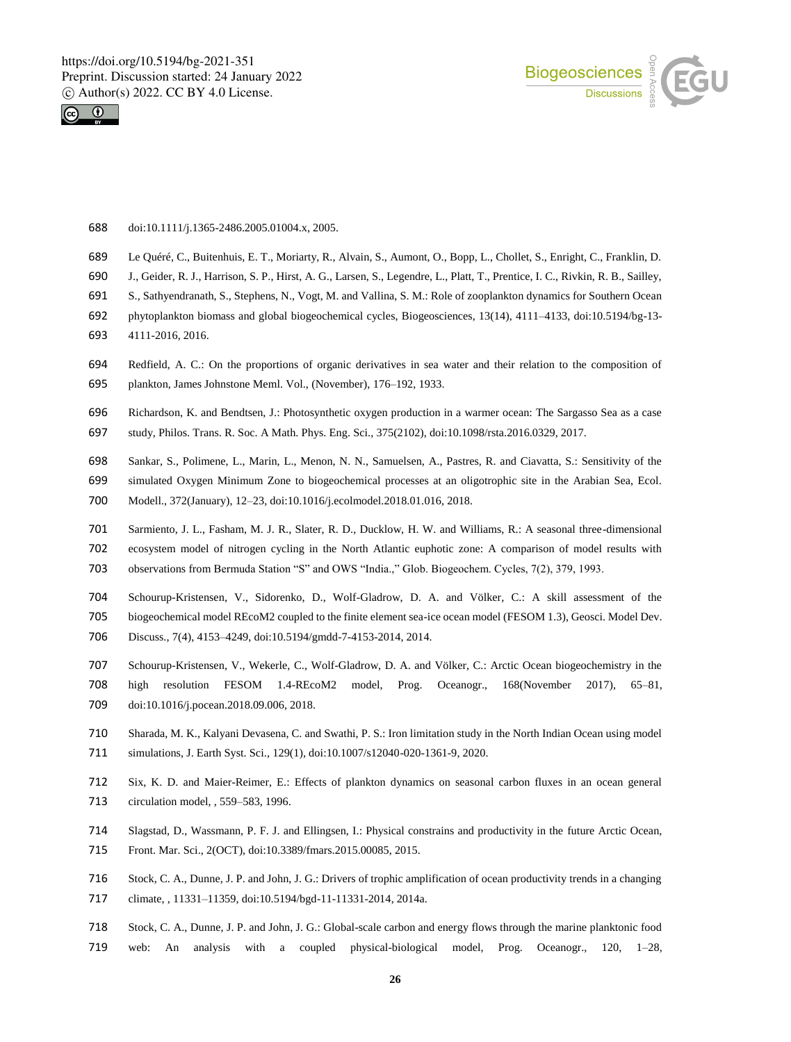



- doi:10.1111/j.1365-2486.2005.01004.x, 2005.
- Le Quéré, C., Buitenhuis, E. T., Moriarty, R., Alvain, S., Aumont, O., Bopp, L., Chollet, S., Enright, C., Franklin, D.
- J., Geider, R. J., Harrison, S. P., Hirst, A. G., Larsen, S., Legendre, L., Platt, T., Prentice, I. C., Rivkin, R. B., Sailley,
- S., Sathyendranath, S., Stephens, N., Vogt, M. and Vallina, S. M.: Role of zooplankton dynamics for Southern Ocean
- phytoplankton biomass and global biogeochemical cycles, Biogeosciences, 13(14), 4111–4133, doi:10.5194/bg-13-
- 4111-2016, 2016.
- Redfield, A. C.: On the proportions of organic derivatives in sea water and their relation to the composition of plankton, James Johnstone Meml. Vol., (November), 176–192, 1933.
- Richardson, K. and Bendtsen, J.: Photosynthetic oxygen production in a warmer ocean: The Sargasso Sea as a case
- study, Philos. Trans. R. Soc. A Math. Phys. Eng. Sci., 375(2102), doi:10.1098/rsta.2016.0329, 2017.
- Sankar, S., Polimene, L., Marin, L., Menon, N. N., Samuelsen, A., Pastres, R. and Ciavatta, S.: Sensitivity of the
- simulated Oxygen Minimum Zone to biogeochemical processes at an oligotrophic site in the Arabian Sea, Ecol.
- Modell., 372(January), 12–23, doi:10.1016/j.ecolmodel.2018.01.016, 2018.
- Sarmiento, J. L., Fasham, M. J. R., Slater, R. D., Ducklow, H. W. and Williams, R.: A seasonal three-dimensional
- ecosystem model of nitrogen cycling in the North Atlantic euphotic zone: A comparison of model results with
- observations from Bermuda Station "S" and OWS "India.," Glob. Biogeochem. Cycles, 7(2), 379, 1993.
- Schourup-Kristensen, V., Sidorenko, D., Wolf-Gladrow, D. A. and Völker, C.: A skill assessment of the
- biogeochemical model REcoM2 coupled to the finite element sea-ice ocean model (FESOM 1.3), Geosci. Model Dev.
- Discuss., 7(4), 4153–4249, doi:10.5194/gmdd-7-4153-2014, 2014.
- Schourup-Kristensen, V., Wekerle, C., Wolf-Gladrow, D. A. and Völker, C.: Arctic Ocean biogeochemistry in the high resolution FESOM 1.4-REcoM2 model, Prog. Oceanogr., 168(November 2017), 65–81, doi:10.1016/j.pocean.2018.09.006, 2018.
- Sharada, M. K., Kalyani Devasena, C. and Swathi, P. S.: Iron limitation study in the North Indian Ocean using model simulations, J. Earth Syst. Sci., 129(1), doi:10.1007/s12040-020-1361-9, 2020.
- Six, K. D. and Maier-Reimer, E.: Effects of plankton dynamics on seasonal carbon fluxes in an ocean general circulation model, , 559–583, 1996.
- Slagstad, D., Wassmann, P. F. J. and Ellingsen, I.: Physical constrains and productivity in the future Arctic Ocean,
- Front. Mar. Sci., 2(OCT), doi:10.3389/fmars.2015.00085, 2015.
- Stock, C. A., Dunne, J. P. and John, J. G.: Drivers of trophic amplification of ocean productivity trends in a changing
- climate, , 11331–11359, doi:10.5194/bgd-11-11331-2014, 2014a.
- Stock, C. A., Dunne, J. P. and John, J. G.: Global-scale carbon and energy flows through the marine planktonic food web: An analysis with a coupled physical-biological model, Prog. Oceanogr., 120, 1–28,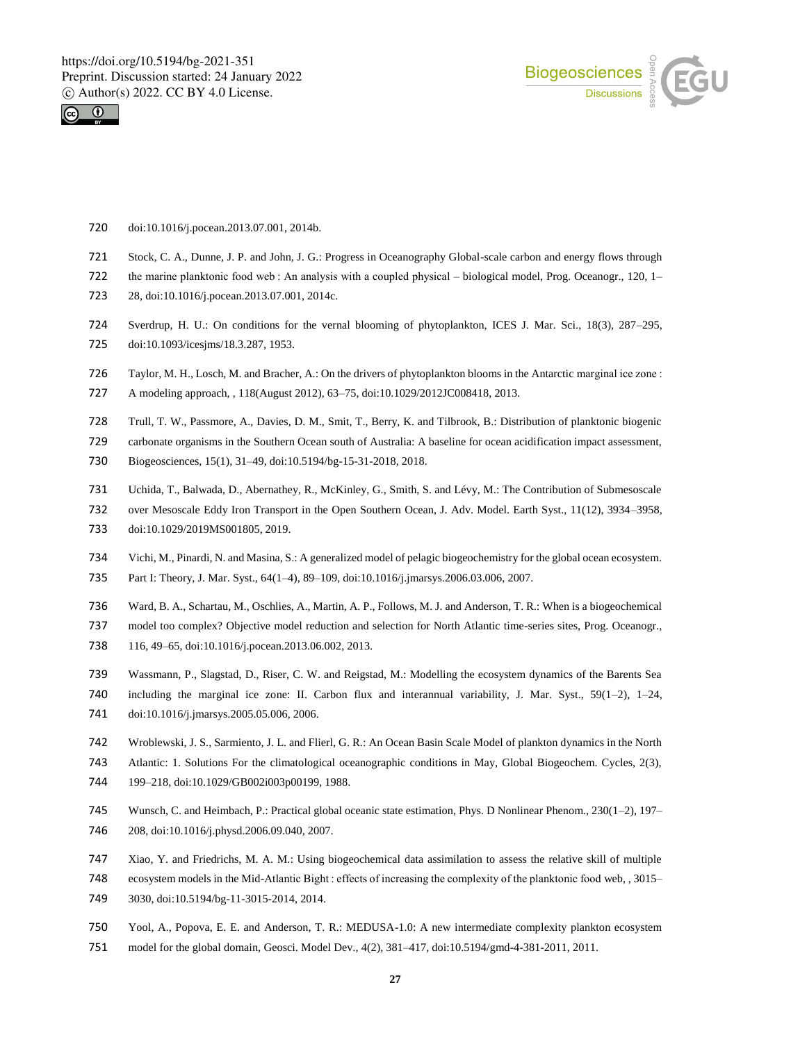



- doi:10.1016/j.pocean.2013.07.001, 2014b.
- Stock, C. A., Dunne, J. P. and John, J. G.: Progress in Oceanography Global-scale carbon and energy flows through
- 722 the marine planktonic food web : An analysis with a coupled physical biological model, Prog. Oceanogr., 120, 1–
- 28, doi:10.1016/j.pocean.2013.07.001, 2014c.
- Sverdrup, H. U.: On conditions for the vernal blooming of phytoplankton, ICES J. Mar. Sci., 18(3), 287–295,
- doi:10.1093/icesjms/18.3.287, 1953.
- Taylor, M. H., Losch, M. and Bracher, A.: On the drivers of phytoplankton blooms in the Antarctic marginal ice zone :
- A modeling approach, , 118(August 2012), 63–75, doi:10.1029/2012JC008418, 2013.
- Trull, T. W., Passmore, A., Davies, D. M., Smit, T., Berry, K. and Tilbrook, B.: Distribution of planktonic biogenic
- carbonate organisms in the Southern Ocean south of Australia: A baseline for ocean acidification impact assessment,
- Biogeosciences, 15(1), 31–49, doi:10.5194/bg-15-31-2018, 2018.
- Uchida, T., Balwada, D., Abernathey, R., McKinley, G., Smith, S. and Lévy, M.: The Contribution of Submesoscale
- over Mesoscale Eddy Iron Transport in the Open Southern Ocean, J. Adv. Model. Earth Syst., 11(12), 3934–3958,
- doi:10.1029/2019MS001805, 2019.
- Vichi, M., Pinardi, N. and Masina, S.: A generalized model of pelagic biogeochemistry for the global ocean ecosystem. Part I: Theory, J. Mar. Syst., 64(1–4), 89–109, doi:10.1016/j.jmarsys.2006.03.006, 2007.
- Ward, B. A., Schartau, M., Oschlies, A., Martin, A. P., Follows, M. J. and Anderson, T. R.: When is a biogeochemical
- model too complex? Objective model reduction and selection for North Atlantic time-series sites, Prog. Oceanogr., 116, 49–65, doi:10.1016/j.pocean.2013.06.002, 2013.
- Wassmann, P., Slagstad, D., Riser, C. W. and Reigstad, M.: Modelling the ecosystem dynamics of the Barents Sea including the marginal ice zone: II. Carbon flux and interannual variability, J. Mar. Syst., 59(1–2), 1–24, doi:10.1016/j.jmarsys.2005.05.006, 2006.
- Wroblewski, J. S., Sarmiento, J. L. and Flierl, G. R.: An Ocean Basin Scale Model of plankton dynamics in the North
- Atlantic: 1. Solutions For the climatological oceanographic conditions in May, Global Biogeochem. Cycles, 2(3),
- 199–218, doi:10.1029/GB002i003p00199, 1988.
- Wunsch, C. and Heimbach, P.: Practical global oceanic state estimation, Phys. D Nonlinear Phenom., 230(1–2), 197– 208, doi:10.1016/j.physd.2006.09.040, 2007.
- Xiao, Y. and Friedrichs, M. A. M.: Using biogeochemical data assimilation to assess the relative skill of multiple
- ecosystem models in the Mid-Atlantic Bight : effects of increasing the complexity of the planktonic food web, , 3015–
- 3030, doi:10.5194/bg-11-3015-2014, 2014.
- Yool, A., Popova, E. E. and Anderson, T. R.: MEDUSA-1.0: A new intermediate complexity plankton ecosystem
- model for the global domain, Geosci. Model Dev., 4(2), 381–417, doi:10.5194/gmd-4-381-2011, 2011.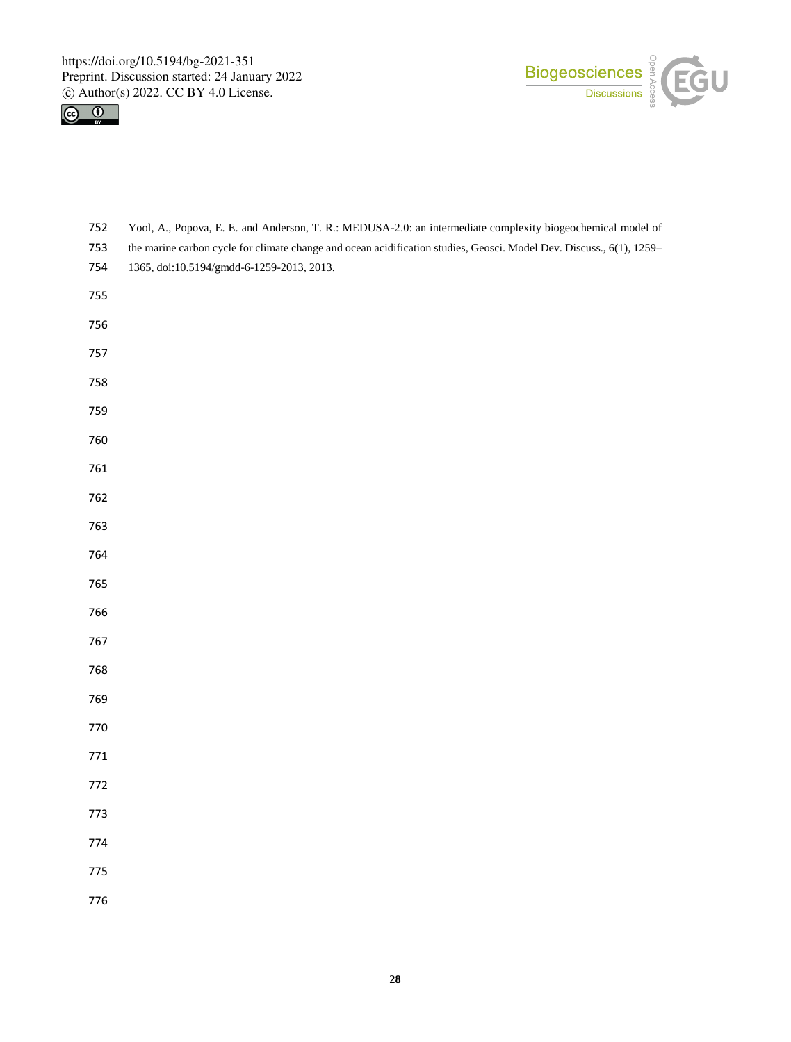



 the marine carbon cycle for climate change and ocean acidification studies, Geosci. Model Dev. Discuss., 6(1), 1259– 1365, doi:10.5194/gmdd-6-1259-2013, 2013. 

Yool, A., Popova, E. E. and Anderson, T. R.: MEDUSA-2.0: an intermediate complexity biogeochemical model of

- 
- 
- 

- 
- 
- 
- 
- 
- 
- 
- 
- 
-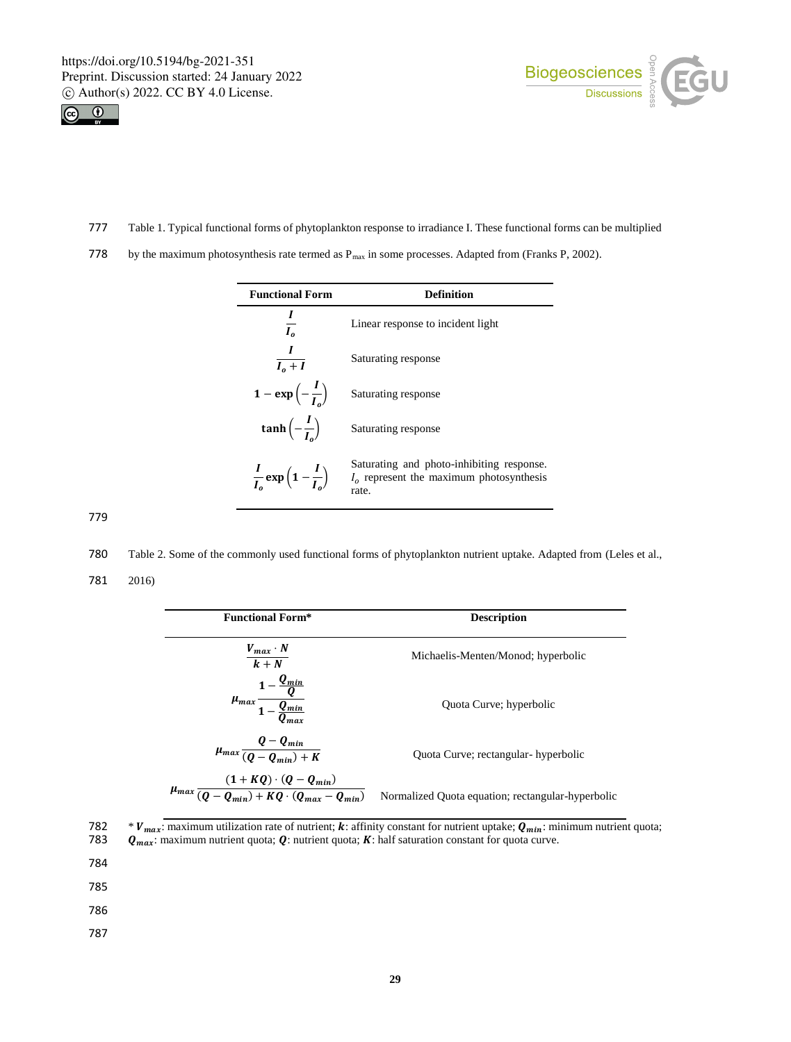j.





- 777 Table 1. Typical functional forms of phytoplankton response to irradiance I. These functional forms can be multiplied
- 778 by the maximum photosynthesis rate termed as  $P_{max}$  in some processes. Adapted from (Franks P, 2002).

| <b>Functional Form</b>                             | Definition                                                                                       |
|----------------------------------------------------|--------------------------------------------------------------------------------------------------|
| $\overline{I_{0}}$                                 | Linear response to incident light                                                                |
| $\overline{I_0+I}$                                 | Saturating response                                                                              |
| $1 - \exp\left(-\frac{I}{I}\right)$                | Saturating response                                                                              |
| $\tanh\left(-\frac{I}{I}\right)$                   | Saturating response                                                                              |
| $\frac{I}{I_o}$ exp $\left(1-\frac{I}{I_o}\right)$ | Saturating and photo-inhibiting response.<br>$I_0$ represent the maximum photosynthesis<br>rate. |

779

780 Table 2. Some of the commonly used functional forms of phytoplankton nutrient uptake. Adapted from (Leles et al.,

781 2016)

| <b>Functional Form*</b>                                                          | <b>Description</b>                                |
|----------------------------------------------------------------------------------|---------------------------------------------------|
| $\frac{V_{max} \cdot N}{k + N}$                                                  | Michaelis-Menten/Monod; hyperbolic                |
| $\mu_{max} \frac{1 - \frac{Q_{min}}{Q}}{1 - \frac{Q_{min}}{Q_{max}}}$            | Quota Curve; hyperbolic                           |
| $\mu_{max} \frac{Q - Q_{min}}{(Q - Q_{min}) + K}$                                | Quota Curve; rectangular- hyperbolic              |
| $\mu_{max}\frac{(1+KQ)\cdot (Q-Q_{min})}{(Q-Q_{min})+KQ\cdot (Q_{max}-Q_{min})}$ | Normalized Quota equation; rectangular-hyperbolic |

<sup>\*</sup>  $V_{max}$ : maximum utilization rate of nutrient; k: affinity constant for nutrient uptake;  $Q_{min}$ : minimum nutrient quota;<br>783  $Q_{max}$ : maximum nutrient quota; Q: nutrient quota; K: half saturation constant for quota curv  $Q_{max}$ : maximum nutrient quota;  $Q$ : nutrient quota;  $K$ : half saturation constant for quota curve.

784

- 785
- 786
- 787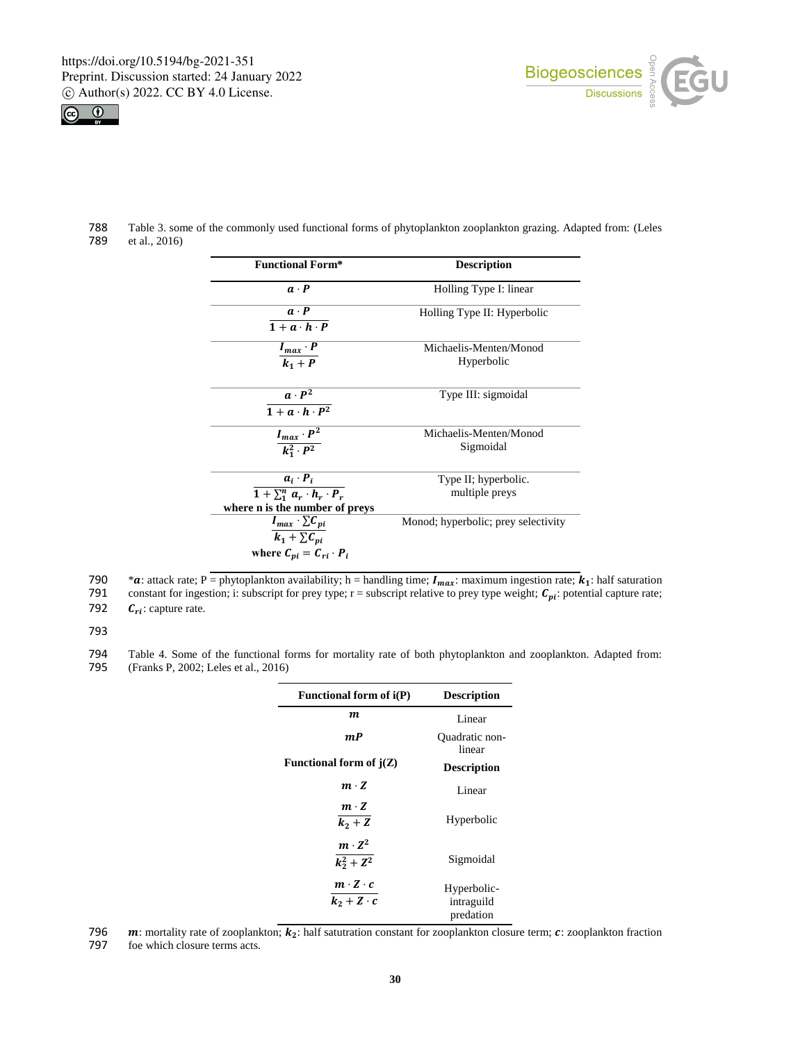



788 Table 3. some of the commonly used functional forms of phytoplankton zooplankton grazing. Adapted from: (Leles et al., 2016)

| <b>Functional Form*</b>                         | <b>Description</b>                  |
|-------------------------------------------------|-------------------------------------|
| $\boldsymbol{a} \cdot \boldsymbol{P}$           | Holling Type I: linear              |
| $a \cdot P$                                     | Holling Type II: Hyperbolic         |
| $1 + a \cdot h \cdot P$                         |                                     |
| $I_{max} \cdot P$                               | Michaelis-Menten/Monod              |
| $k_1+P$                                         | Hyperbolic                          |
| $a \cdot P^2$                                   | Type III: sigmoidal                 |
| $\overline{1 + a \cdot h \cdot P^2}$            |                                     |
| $I_{max} \cdot P^2$                             | Michaelis-Menten/Monod              |
| $k_1^2 \cdot P^2$                               | Sigmoidal                           |
| $a_i \cdot P_i$                                 | Type II; hyperbolic.                |
| $\overline{1+\sum_1^n a_r \cdot h_r \cdot P_r}$ | multiple preys                      |
| where n is the number of preys                  |                                     |
| $I_{max} \cdot \sum C_{pi}$                     | Monod; hyperbolic; prey selectivity |
| $k_1 + \sum C_{ni}$                             |                                     |
| where $C_{pi} = C_{ri} \cdot P_i$               |                                     |

790 \* a: attack rate; P = phytoplankton availability; h = handling time;  $I_{max}$ : maximum ingestion rate;  $k_1$ : half saturation constant for ingestion; i: subscript for prey type; r = subscript relative to prey type weigh

791 constant for ingestion; i: subscript for prey type; r = subscript relative to prey type weight;  $C_{pi}$ : potential capture rate;<br>792  $C_{pi}$ : capture rate.

 $C_{ri}$ : capture rate.

793

794 Table 4. Some of the functional forms for mortality rate of both phytoplankton and zooplankton. Adapted from:<br>795 (Franks P, 2002; Leles et al., 2016) (Franks P, 2002; Leles et al., 2016)

L

| <b>Functional form of i(P)</b>        | <b>Description</b>                     |
|---------------------------------------|----------------------------------------|
| m                                     | Linear                                 |
| m P                                   | <b>Ouadratic</b> non-<br>linear        |
| Functional form of $j(Z)$             | <b>Description</b>                     |
| $m \cdot Z$                           | Linear                                 |
| $m \cdot Z$<br>$k_2+Z$                | Hyperbolic                             |
| $m \cdot Z^2$<br>$k_2^2 + Z^2$        | Sigmoidal                              |
| $m \cdot Z \cdot c$<br>$k_2+Z\cdot c$ | Hyperbolic-<br>intraguild<br>predation |

796  $\ldots$  m: mortality rate of zooplankton;  $k_2$ : half satutration constant for zooplankton closure term;  $\boldsymbol{c}$ : zooplankton fraction 797 foe which closure terms acts.

foe which closure terms acts.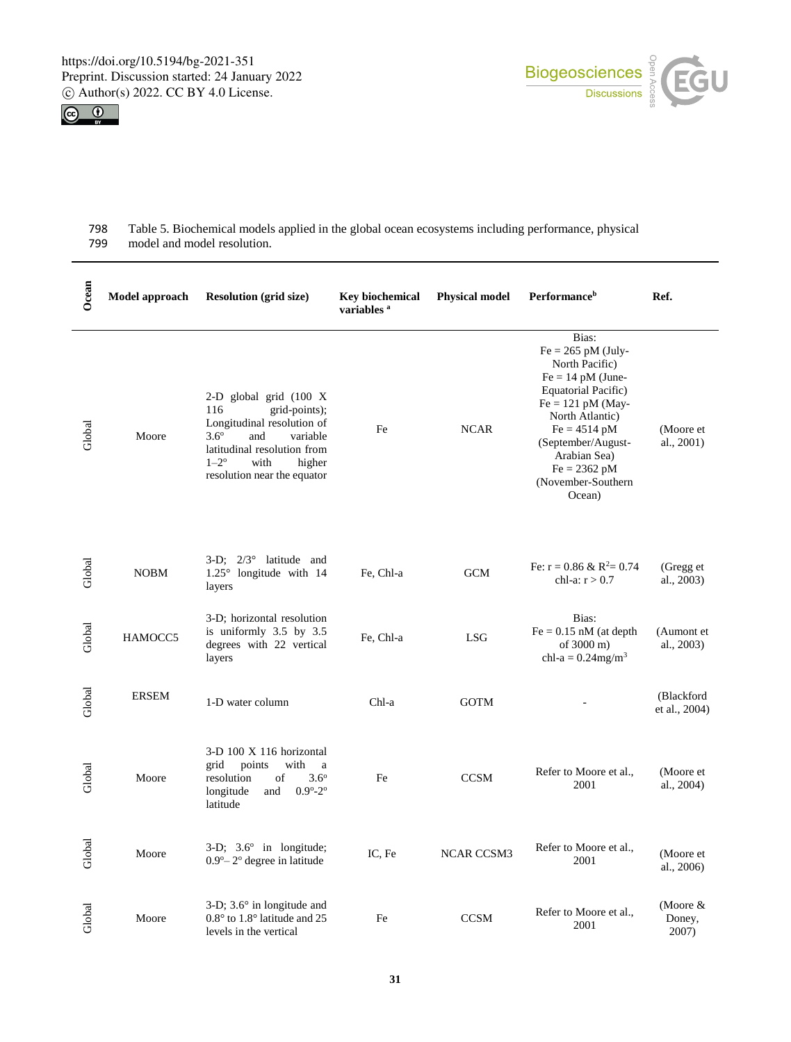



| 798 | Table 5. Biochemical models applied in the global ocean ecosystems including performance, physical |
|-----|----------------------------------------------------------------------------------------------------|
| 799 | model and model resolution.                                                                        |

| Ocean  | Model approach | <b>Resolution (grid size)</b>                                                                                                                                                                                                  | <b>Key biochemical</b><br>variables <sup>a</sup> | <b>Physical model</b> | <b>Performance</b> <sup>b</sup>                                                                                                                                                                                                                                   | Ref.                          |
|--------|----------------|--------------------------------------------------------------------------------------------------------------------------------------------------------------------------------------------------------------------------------|--------------------------------------------------|-----------------------|-------------------------------------------------------------------------------------------------------------------------------------------------------------------------------------------------------------------------------------------------------------------|-------------------------------|
| Global | Moore          | 2-D global grid $(100 \text{ X})$<br>116<br>grid-points);<br>Longitudinal resolution of<br>$3.6^{\circ}$<br>variable<br>and<br>latitudinal resolution from<br>$1 - 2^{\circ}$<br>with<br>higher<br>resolution near the equator | Fe                                               | <b>NCAR</b>           | Bias:<br>$Fe = 265$ pM (July-<br>North Pacific)<br>$Fe = 14$ pM (June-<br>Equatorial Pacific)<br>$Fe = 121$ pM (May-<br>North Atlantic)<br>$Fe = 4514 \text{ pM}$<br>(September/August-<br>Arabian Sea)<br>$Fe = 2362 \text{ pM}$<br>(November-Southern<br>Ocean) | (Moore et<br>al., 2001)       |
| Global | <b>NOBM</b>    | $3-D$ : $2/3^{\circ}$ latitude and<br>1.25° longitude with 14<br>layers                                                                                                                                                        | Fe, Chl-a                                        | <b>GCM</b>            | Fe: $r = 0.86 \& R^2 = 0.74$<br>chl-a: $r > 0.7$                                                                                                                                                                                                                  | (Gregg et<br>al., 2003)       |
| Global | HAMOCC5        | 3-D; horizontal resolution<br>is uniformly 3.5 by 3.5<br>degrees with 22 vertical<br>layers                                                                                                                                    | Fe, Chl-a                                        | <b>LSG</b>            | Bias:<br>$Fe = 0.15$ nM (at depth<br>of 3000 m)<br>chl-a = $0.24$ mg/m <sup>3</sup>                                                                                                                                                                               | (Aumont et<br>al., 2003)      |
| Global | <b>ERSEM</b>   | 1-D water column                                                                                                                                                                                                               | Chl-a                                            | <b>GOTM</b>           |                                                                                                                                                                                                                                                                   | (Blackford<br>et al., 2004)   |
| Global | Moore          | 3-D 100 X 116 horizontal<br>points<br>with<br>grid<br>a<br>$3.6^{\circ}$<br>resolution<br>of<br>longitude<br>and<br>$0.9^{\circ} - 2^{\circ}$<br>latitude                                                                      | Fe                                               | <b>CCSM</b>           | Refer to Moore et al.,<br>2001                                                                                                                                                                                                                                    | (Moore et<br>al., 2004)       |
| Global | Moore          | $3-D$ ; $3.6^\circ$ in longitude;<br>$0.9^{\circ}-2^{\circ}$ degree in latitude                                                                                                                                                | IC, Fe                                           | <b>NCAR CCSM3</b>     | Refer to Moore et al.,<br>2001                                                                                                                                                                                                                                    | (Moore et<br>al., 2006)       |
| Global | Moore          | $3-D$ ; $3.6^\circ$ in longitude and<br>$0.8^{\circ}$ to $1.8^{\circ}$ latitude and 25<br>levels in the vertical                                                                                                               | Fe                                               | <b>CCSM</b>           | Refer to Moore et al.,<br>2001                                                                                                                                                                                                                                    | (Moore $&$<br>Doney,<br>2007) |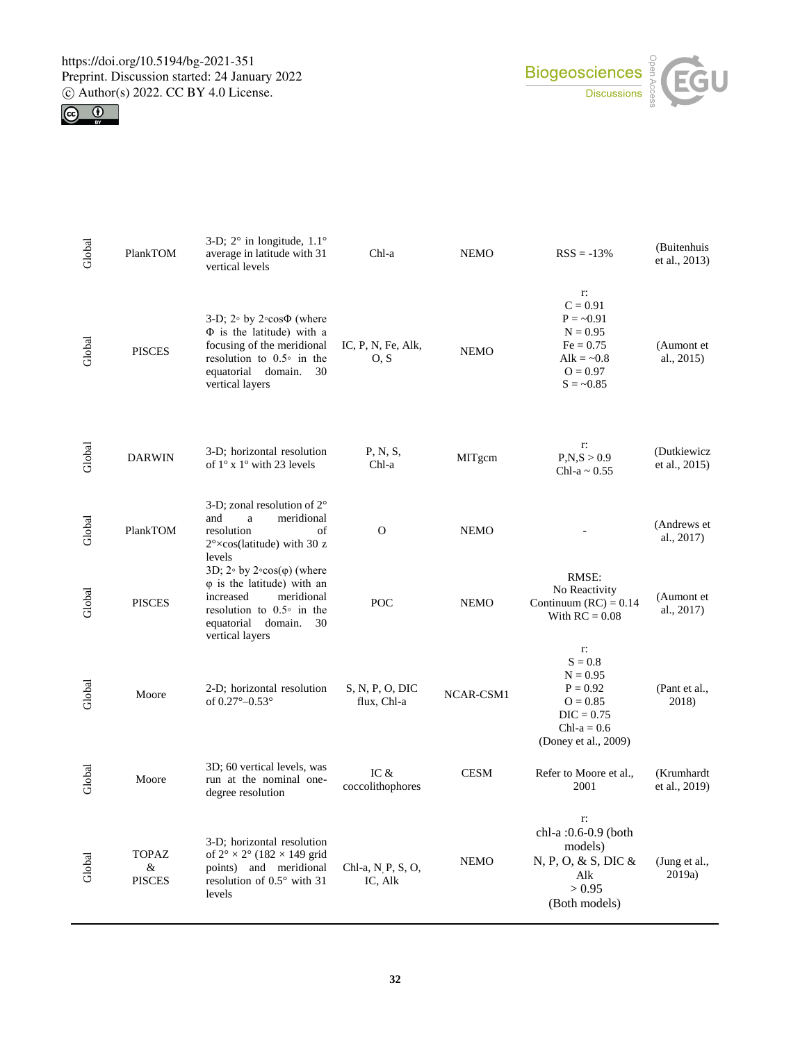



| Global | PlankTOM                           | 3-D; $2^{\circ}$ in longitude, $1.1^{\circ}$<br>average in latitude with 31<br>vertical levels                                                                                                | Chl-a                          | <b>NEMO</b> | $RSS = -13%$                                                                                                        | (Buitenhuis<br>et al., 2013) |
|--------|------------------------------------|-----------------------------------------------------------------------------------------------------------------------------------------------------------------------------------------------|--------------------------------|-------------|---------------------------------------------------------------------------------------------------------------------|------------------------------|
| Global | <b>PISCES</b>                      | 3-D; $2°$ by $2°\cos\Phi$ (where<br>$\Phi$ is the latitude) with a<br>focusing of the meridional<br>resolution to $0.5^{\circ}$ in the<br>equatorial<br>domain.<br>30<br>vertical layers      | IC, P, N, Fe, Alk,<br>O, S     | <b>NEMO</b> | r:<br>$C = 0.91$<br>$P = -0.91$<br>$N = 0.95$<br>$Fe = 0.75$<br>Alk = $\sim 0.8$<br>$O = 0.97$<br>$S = -0.85$       | (Aumont et<br>al., 2015)     |
| Global | <b>DARWIN</b>                      | 3-D; horizontal resolution<br>of $1^\circ$ x $1^\circ$ with 23 levels                                                                                                                         | P, N, S,<br>Chl-a              | MITgcm      | r:<br>P, N, S > 0.9<br>Chl-a $\sim 0.55$                                                                            | (Dutkiewicz<br>et al., 2015) |
| Global | PlankTOM                           | 3-D; zonal resolution of $2^{\circ}$<br>and<br>a<br>meridional<br>resolution<br>of<br>$2^{\circ} \times \cos$ (latitude) with 30 z<br>levels                                                  | $\Omega$                       | <b>NEMO</b> |                                                                                                                     | (Andrews et<br>al., 2017)    |
| Global | <b>PISCES</b>                      | 3D; $2°$ by $2°\cos(\varphi)$ (where<br>$\varphi$ is the latitude) with an<br>increased<br>meridional<br>resolution to $0.5^{\circ}$ in the<br>equatorial<br>domain.<br>30<br>vertical layers | POC                            | <b>NEMO</b> | RMSE:<br>No Reactivity<br>Continuum $(RC) = 0.14$<br>With $RC = 0.08$                                               | (Aumont et<br>al., 2017)     |
| Global | Moore                              | 2-D; horizontal resolution<br>of $0.27^{\circ} - 0.53^{\circ}$                                                                                                                                | S, N, P, O, DIC<br>flux, Chl-a | NCAR-CSM1   | r:<br>$S = 0.8$<br>$N = 0.95$<br>$P = 0.92$<br>$O = 0.85$<br>$DIC = 0.75$<br>Chl- $a = 0.6$<br>(Doney et al., 2009) | (Pant et al.,<br>2018)       |
| Global | Moore                              | 3D; 60 vertical levels, was<br>run at the nominal one-<br>degree resolution                                                                                                                   | IC &<br>coccolithophores       | <b>CESM</b> | Refer to Moore et al.,<br>2001                                                                                      | (Krumhardt<br>et al., 2019)  |
| Global | <b>TOPAZ</b><br>&<br><b>PISCES</b> | 3-D; horizontal resolution<br>of $2^{\circ} \times 2^{\circ}$ (182 $\times$ 149 grid<br>points) and meridional<br>resolution of 0.5° with 31<br>levels                                        | Chl-a, N P, S, O,<br>IC, Alk   | <b>NEMO</b> | r:<br>chl-a :0.6-0.9 (both<br>models)<br>N, P, O, & S, DIC &<br>Alk<br>> 0.95<br>(Both models)                      | (Jung et al.,<br>2019a)      |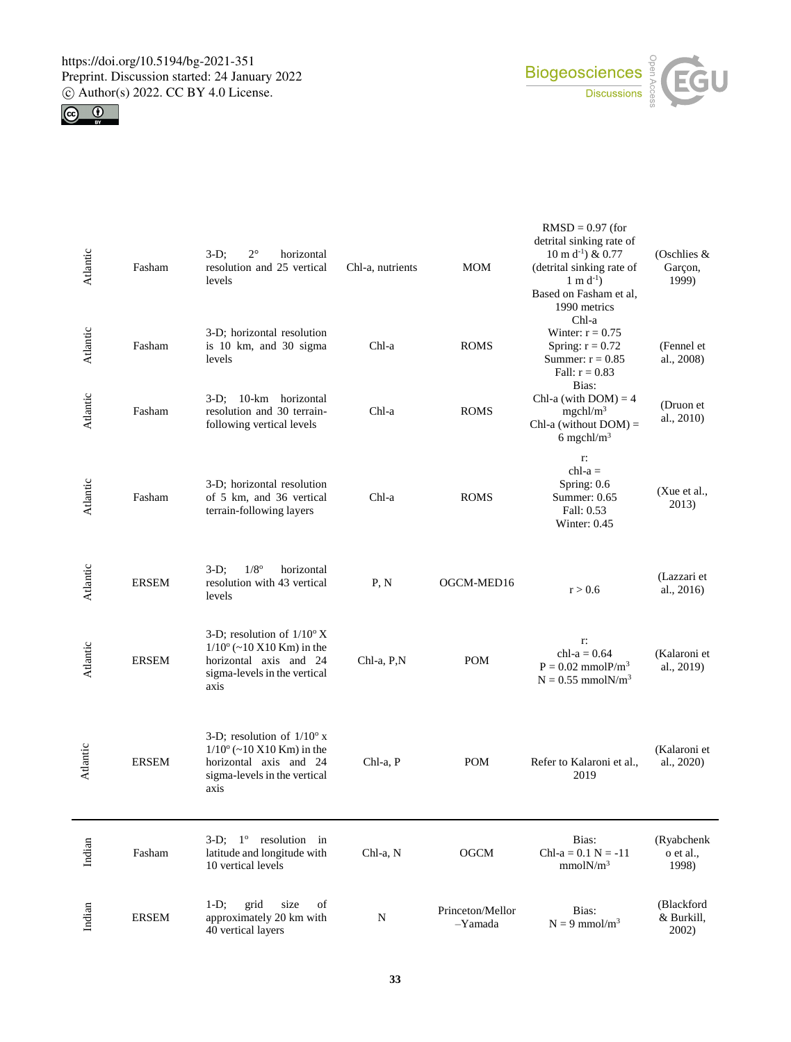



| Atlantic | Fasham       | $2^{\circ}$<br>$3-D$ ;<br>horizontal<br>resolution and 25 vertical<br>levels                                                                | Chl-a, nutrients | <b>MOM</b>                  | $RMSD = 0.97$ (for<br>detrital sinking rate of<br>$10 \text{ m d}^{-1}$ ) & 0.77<br>(detrital sinking rate of<br>$1 \text{ m d}^{-1}$ ) | (Oschlies &<br>Garçon,<br>1999)   |
|----------|--------------|---------------------------------------------------------------------------------------------------------------------------------------------|------------------|-----------------------------|-----------------------------------------------------------------------------------------------------------------------------------------|-----------------------------------|
| Atlantic | Fasham       | 3-D; horizontal resolution<br>is 10 km, and 30 sigma<br>levels                                                                              | Chl-a            | <b>ROMS</b>                 | Based on Fasham et al,<br>1990 metrics<br>Chl-a<br>Winter: $r = 0.75$<br>Spring: $r = 0.72$<br>Summer: $r = 0.85$<br>Fall: $r = 0.83$   | (Fennel et<br>al., 2008)          |
| Atlantic | Fasham       | 3-D; 10-km horizontal<br>resolution and 30 terrain-<br>following vertical levels                                                            | Chl-a            | <b>ROMS</b>                 | Bias:<br>Chl-a (with $DOM$ ) = 4<br>mgchl/m <sup>3</sup><br>Chl-a (without $DOM$ ) =<br>6 mgchl/m <sup>3</sup>                          | (Druon et<br>al., 2010)           |
| Atlantic | Fasham       | 3-D; horizontal resolution<br>of 5 km, and 36 vertical<br>terrain-following layers                                                          | Chl-a            | <b>ROMS</b>                 | r:<br>$ch1-a =$<br>Spring: $0.6$<br>Summer: $0.65$<br>Fall: 0.53<br>Winter: $0.45$                                                      | (Xue et al.,<br>2013)             |
| Atlantic | <b>ERSEM</b> | $1/8$ <sup>o</sup><br>3-D;<br>horizontal<br>resolution with 43 vertical<br>levels                                                           | P, N             | OGCM-MED16                  | r > 0.6                                                                                                                                 | (Lazzari et<br>al., 2016)         |
| Atlantic | <b>ERSEM</b> | 3-D; resolution of $1/10^{\circ} X$<br>$1/10^{\circ}$ (~10 X10 Km) in the<br>horizontal axis and 24<br>sigma-levels in the vertical<br>axis | Chl-a, P,N       | <b>POM</b>                  | r:<br>$ch1-a = 0.64$<br>$P = 0.02$ mmol $P/m3$<br>$N = 0.55$ mmol $N/m3$                                                                | (Kalaroni et<br>al., 2019)        |
| Atlantic | <b>ERSEM</b> | 3-D; resolution of $1/10^{\circ}$ x<br>$1/10^{\circ}$ (~10 X10 Km) in the<br>horizontal axis and 24<br>sigma-levels in the vertical<br>axis | Chl-a, P         | <b>POM</b>                  | Refer to Kalaroni et al.,<br>2019                                                                                                       | (Kalaroni et<br>al., 2020)        |
| Indian   | Fasham       | $3-D$ ; $1^{\circ}$ resolution in<br>latitude and longitude with<br>10 vertical levels                                                      | Chl-a, N         | <b>OGCM</b>                 | Bias:<br>Chl-a = $0.1 N = -11$<br>mmolN/m <sup>3</sup>                                                                                  | (Ryabchenk<br>o et al.,<br>1998)  |
| Indian   | <b>ERSEM</b> | grid<br>size<br>of<br>$1-D;$<br>approximately 20 km with<br>40 vertical layers                                                              | N                | Princeton/Mellor<br>-Yamada | Bias:<br>$N = 9$ mmol/m <sup>3</sup>                                                                                                    | (Blackford<br>& Burkill,<br>2002) |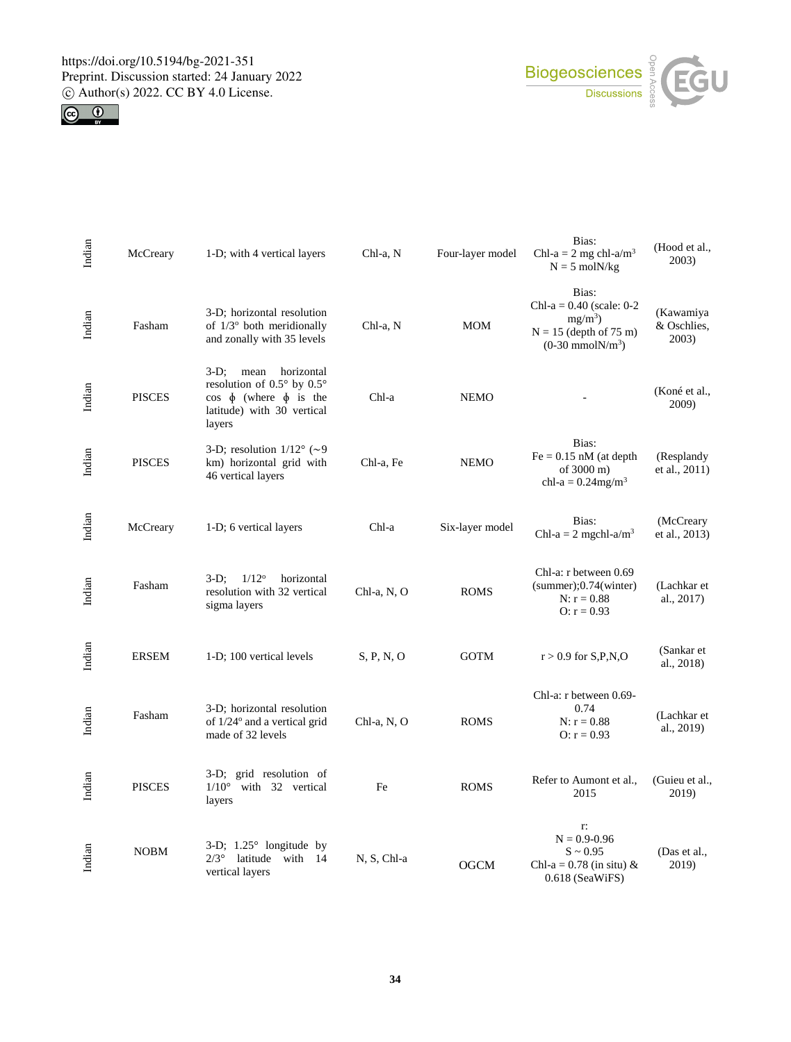



| Indian | McCreary      | 1-D; with 4 vertical layers                                                                                                             | Chl-a, N    | Four-layer model | Bias:<br>Chl-a = $2 \text{ mg chl-a/m}^3$<br>$N = 5$ mol $N/kg$                                             | (Hood et al.,<br>2003)            |
|--------|---------------|-----------------------------------------------------------------------------------------------------------------------------------------|-------------|------------------|-------------------------------------------------------------------------------------------------------------|-----------------------------------|
| Indian | Fasham        | 3-D; horizontal resolution<br>of $1/3^{\circ}$ both meridionally<br>and zonally with 35 levels                                          | Chl-a, N    | <b>MOM</b>       | Bias:<br>Chl-a = $0.40$ (scale: 0-2<br>$mg/m^3$ )<br>$N = 15$ (depth of 75 m)<br>$(0-30 \text{ mmolN/m}^3)$ | (Kawamiya<br>& Oschlies,<br>2003) |
| Indian | <b>PISCES</b> | $3-D$ ;<br>mean<br>horizontal<br>resolution of 0.5° by 0.5°<br>$\cos \phi$ (where $\phi$ is the<br>latitude) with 30 vertical<br>layers | Chl-a       | <b>NEMO</b>      |                                                                                                             | (Koné et al.,<br>2009)            |
| Indian | <b>PISCES</b> | 3-D; resolution $1/12^{\circ}$ (~9<br>km) horizontal grid with<br>46 vertical layers                                                    | Chl-a, Fe   | <b>NEMO</b>      | Bias:<br>$Fe = 0.15$ nM (at depth<br>of 3000 m)<br>chl-a = $0.24$ mg/m <sup>3</sup>                         | (Resplandy)<br>et al., 2011)      |
| Indian | McCreary      | 1-D; 6 vertical layers                                                                                                                  | Chl-a       | Six-layer model  | Bias:<br>Chl-a = 2 mgchl-a/m <sup>3</sup>                                                                   | (McCreary<br>et al., 2013)        |
| Indian | Fasham        | $1/12^{\circ}$<br>$3-D$ ;<br>horizontal<br>resolution with 32 vertical<br>sigma layers                                                  | Chl-a, N, O | <b>ROMS</b>      | Chl-a: r between 0.69<br>$(summer)$ ; 0.74 $(winter)$<br>$N: r = 0.88$<br>$Q: r = 0.93$                     | (Lachkar et<br>al., 2017)         |
| Indian | <b>ERSEM</b>  | 1-D; 100 vertical levels                                                                                                                | S, P, N, O  | <b>GOTM</b>      | $r > 0.9$ for S,P,N,O                                                                                       | (Sankar et<br>al., 2018)          |
| Indian | Fasham        | 3-D; horizontal resolution<br>of $1/24$ <sup>o</sup> and a vertical grid<br>made of 32 levels                                           | Chl-a, N, O | <b>ROMS</b>      | Chl-a: r between 0.69-<br>0.74<br>$N: r = 0.88$<br>$O: r = 0.93$                                            | (Lachkar et<br>al., 2019)         |
| Indian | <b>PISCES</b> | 3-D; grid resolution of<br>$1/10^\circ$<br>with 32 vertical<br>layers                                                                   | Fe          | <b>ROMS</b>      | Refer to Aumont et al.,<br>2015                                                                             | (Guieu et al.,<br>2019)           |
| Indian | <b>NOBM</b>   | 3-D; $1.25^{\circ}$ longitude by<br>$2/3^\circ$<br>latitude with<br>- 14<br>vertical layers                                             | N, S, Chl-a | <b>OGCM</b>      | r:<br>$N = 0.9 - 0.96$<br>$S \sim 0.95$<br>Chl-a = $0.78$ (in situ) &<br>$0.618$ (SeaWiFS)                  | (Das et al.,<br>2019)             |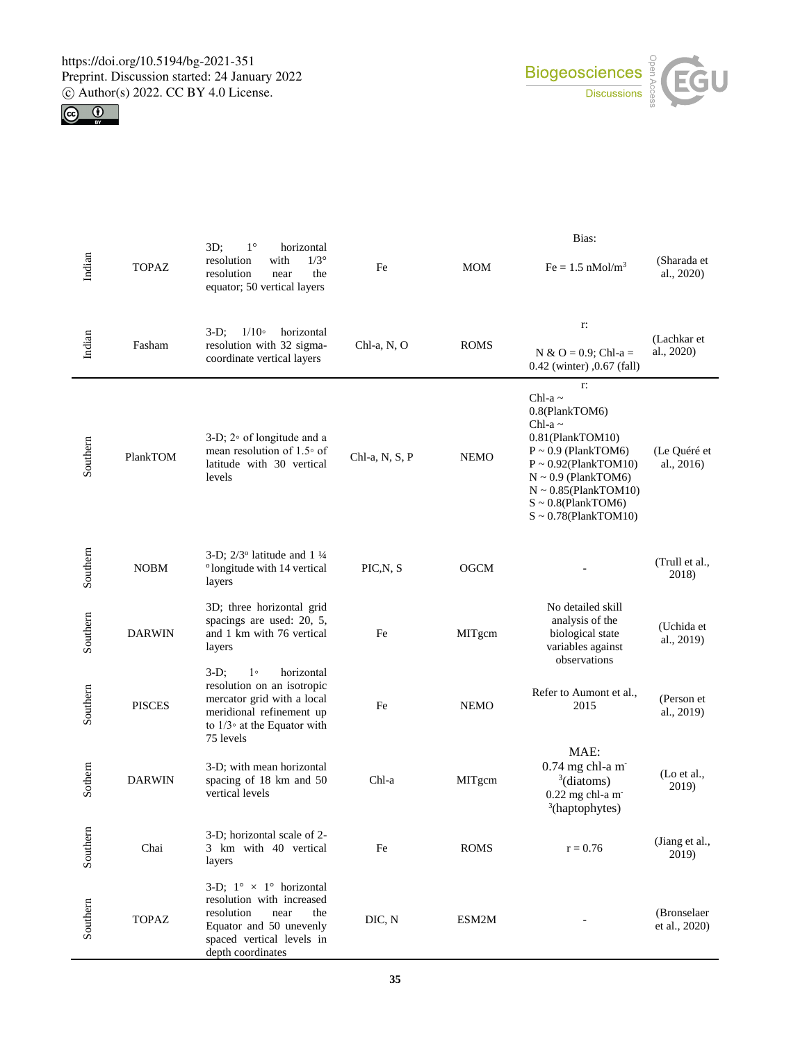



|          |               |                                                                                                                                                                                     |                | Bias:       |                                                                                                                                                                                                                                                        |                              |  |
|----------|---------------|-------------------------------------------------------------------------------------------------------------------------------------------------------------------------------------|----------------|-------------|--------------------------------------------------------------------------------------------------------------------------------------------------------------------------------------------------------------------------------------------------------|------------------------------|--|
| Indian   | <b>TOPAZ</b>  | $1^{\circ}$<br>$3D$ ;<br>horizontal<br>with<br>$1/3^\circ$<br>resolution<br>resolution<br>near<br>the<br>equator; 50 vertical layers                                                | Fe             | <b>MOM</b>  | $Fe = 1.5$ nMol/m <sup>3</sup>                                                                                                                                                                                                                         | (Sharada et<br>al., 2020)    |  |
| Indian   | Fasham        | $1/10$ <sup>o</sup><br>horizontal<br>$3-D$ ;<br>resolution with 32 sigma-<br>coordinate vertical layers                                                                             | Chl-a, N, O    | <b>ROMS</b> | r:<br>N & O = 0.9; Chl-a =<br>0.42 (winter) ,0.67 (fall)                                                                                                                                                                                               | (Lachkar et<br>al., 2020)    |  |
| Southern | PlankTOM      | 3-D; $2°$ of longitude and a<br>mean resolution of $1.5^{\circ}$ of<br>latitude with 30 vertical<br>levels                                                                          | Chl-a, N, S, P | <b>NEMO</b> | r:<br>Chl-a $\sim$<br>0.8(PlankTOM6)<br>Chl-a $\sim$<br>0.81(PlankTOM10)<br>$P \sim 0.9$ (PlankTOM6)<br>$P \sim 0.92$ (PlankTOM10)<br>$N \sim 0.9$ (PlankTOM6)<br>$N \sim 0.85$ (PlankTOM10)<br>$S \sim 0.8$ (PlankTOM6)<br>$S \sim 0.78$ (PlankTOM10) | (Le Quéré et<br>al., 2016)   |  |
| Southern | <b>NOBM</b>   | 3-D; $2/3^{\circ}$ latitude and 1 $\frac{1}{4}$<br><sup>o</sup> longitude with 14 vertical<br>layers                                                                                | PIC, N, S      | <b>OGCM</b> |                                                                                                                                                                                                                                                        | (Trull et al.,<br>2018)      |  |
| Southern | <b>DARWIN</b> | 3D; three horizontal grid<br>spacings are used: 20, 5,<br>and 1 km with 76 vertical<br>layers                                                                                       | Fe             | MITgcm      | No detailed skill<br>analysis of the<br>biological state<br>variables against<br>observations                                                                                                                                                          | (Uchida et<br>al., 2019)     |  |
| Southern | <b>PISCES</b> | 1 <sup>°</sup><br>horizontal<br>$3-D$ ;<br>resolution on an isotropic<br>mercator grid with a local<br>meridional refinement up<br>to $1/3$ at the Equator with<br>75 levels        | Fe             | <b>NEMO</b> | Refer to Aumont et al.,<br>2015                                                                                                                                                                                                                        | (Person et<br>al., 2019)     |  |
| Sothern  | <b>DARWIN</b> | 3-D; with mean horizontal<br>spacing of 18 km and 50<br>vertical levels                                                                                                             | Chl-a          | MITgcm      | MAE:<br>$0.74$ mg chl-a m<br>$3$ (diatoms)<br>0.22 mg chl-a m<br><sup>3</sup> (haptophytes)                                                                                                                                                            | (Lo et al.,<br>2019)         |  |
| Southern | Chai          | 3-D; horizontal scale of 2-<br>3 km with 40 vertical<br>layers                                                                                                                      | Fe             | <b>ROMS</b> | $r = 0.76$                                                                                                                                                                                                                                             | (Jiang et al.,<br>2019)      |  |
| Southern | <b>TOPAZ</b>  | 3-D; $1^{\circ} \times 1^{\circ}$ horizontal<br>resolution with increased<br>resolution<br>near<br>the<br>Equator and 50 unevenly<br>spaced vertical levels in<br>depth coordinates | DIC, N         | ESM2M       |                                                                                                                                                                                                                                                        | (Bronselaer<br>et al., 2020) |  |

**35**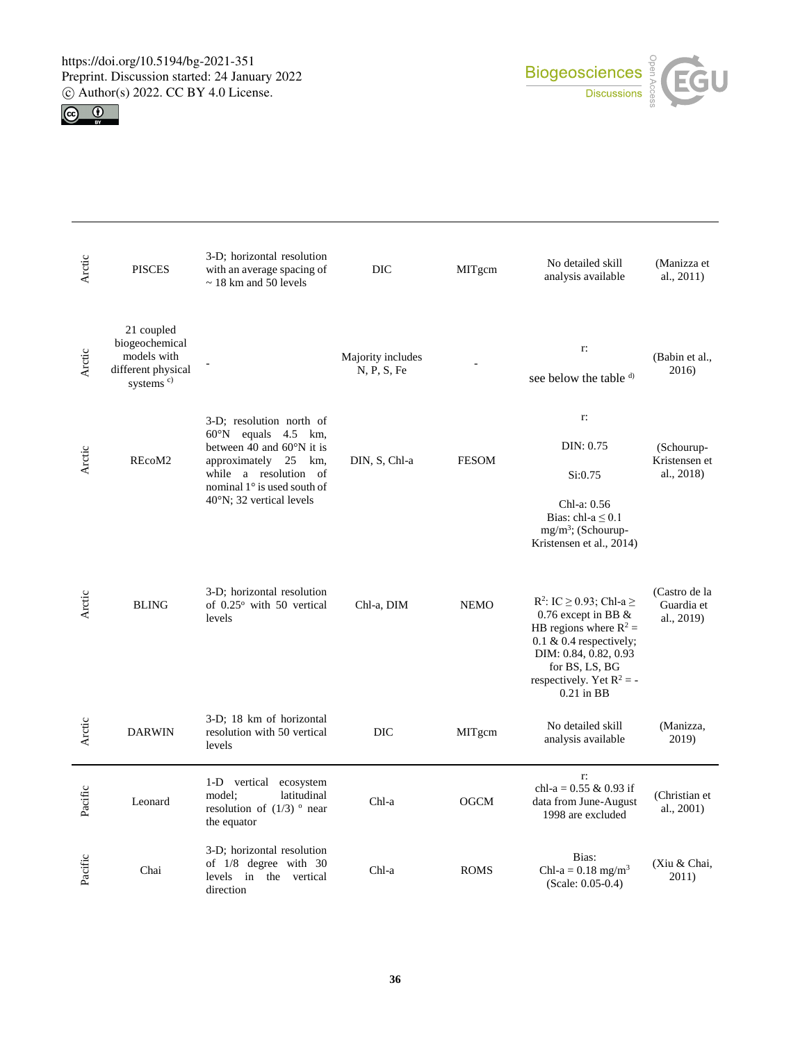



| Arctic  | <b>PISCES</b>                                                                              | 3-D; horizontal resolution<br>with an average spacing of<br>$\sim$ 18 km and 50 levels                                                                                                                                 | DIC                              | MITgcm       | No detailed skill<br>analysis available                                                                                                                                                                                  | (Manizza et<br>al., 2011)                 |
|---------|--------------------------------------------------------------------------------------------|------------------------------------------------------------------------------------------------------------------------------------------------------------------------------------------------------------------------|----------------------------------|--------------|--------------------------------------------------------------------------------------------------------------------------------------------------------------------------------------------------------------------------|-------------------------------------------|
| Arctic  | 21 coupled<br>biogeochemical<br>models with<br>different physical<br>systems <sup>c)</sup> |                                                                                                                                                                                                                        | Majority includes<br>N, P, S, Fe |              | r:<br>see below the table d)                                                                                                                                                                                             | (Babin et al.,<br>2016)                   |
| Arctic  | REcoM2                                                                                     | 3-D; resolution north of<br>$60^{\circ}$ N equals 4.5 km,<br>between 40 and $60^{\circ}$ N it is<br>approximately 25 km,<br>while a resolution of<br>nominal 1° is used south of<br>$40^{\circ}$ N; 32 vertical levels | DIN, S, Chl-a                    | <b>FESOM</b> | r:<br>DIN: 0.75<br>Si:0.75<br>Chl-a: 0.56<br>Bias: chl-a $\leq 0.1$<br>$mg/m^3$ ; (Schourup-<br>Kristensen et al., 2014)                                                                                                 | (Schourup-<br>Kristensen et<br>al., 2018) |
| Arctic  | <b>BLING</b>                                                                               | 3-D; horizontal resolution<br>of 0.25° with 50 vertical<br>levels                                                                                                                                                      | Chl-a, DIM                       | <b>NEMO</b>  | R <sup>2</sup> : IC $\geq$ 0.93; Chl-a $\geq$<br>0.76 except in BB &<br>HB regions where $R^2$ =<br>$0.1 \& 0.4$ respectively;<br>DIM: 0.84, 0.82, 0.93<br>for BS, LS, BG<br>respectively. Yet $R^2$ = -<br>$0.21$ in BB | (Castro de la<br>Guardia et<br>al., 2019) |
| Arctic  | <b>DARWIN</b>                                                                              | 3-D; 18 km of horizontal<br>resolution with 50 vertical<br>levels                                                                                                                                                      | DIC                              | MITgcm       | No detailed skill<br>analysis available                                                                                                                                                                                  | (Manizza,<br>2019)                        |
| Pacific | Leonard                                                                                    | 1-D vertical<br>ecosystem<br>latitudinal<br>model;<br>resolution of $(1/3)$ $\circ$ near<br>the equator                                                                                                                | Chl-a                            | <b>OGCM</b>  | r:<br>chl-a = $0.55$ & $0.93$ if<br>data from June-August<br>1998 are excluded                                                                                                                                           | (Christian et<br>al., 2001)               |
| Pacific | Chai                                                                                       | 3-D; horizontal resolution<br>of $1/8$ degree with 30<br>levels in the<br>vertical<br>direction                                                                                                                        | Chl-a                            | <b>ROMS</b>  | Bias:<br>Chl-a = $0.18$ mg/m <sup>3</sup><br>$(Scale: 0.05-0.4)$                                                                                                                                                         | (Xiu & Chai,<br>2011)                     |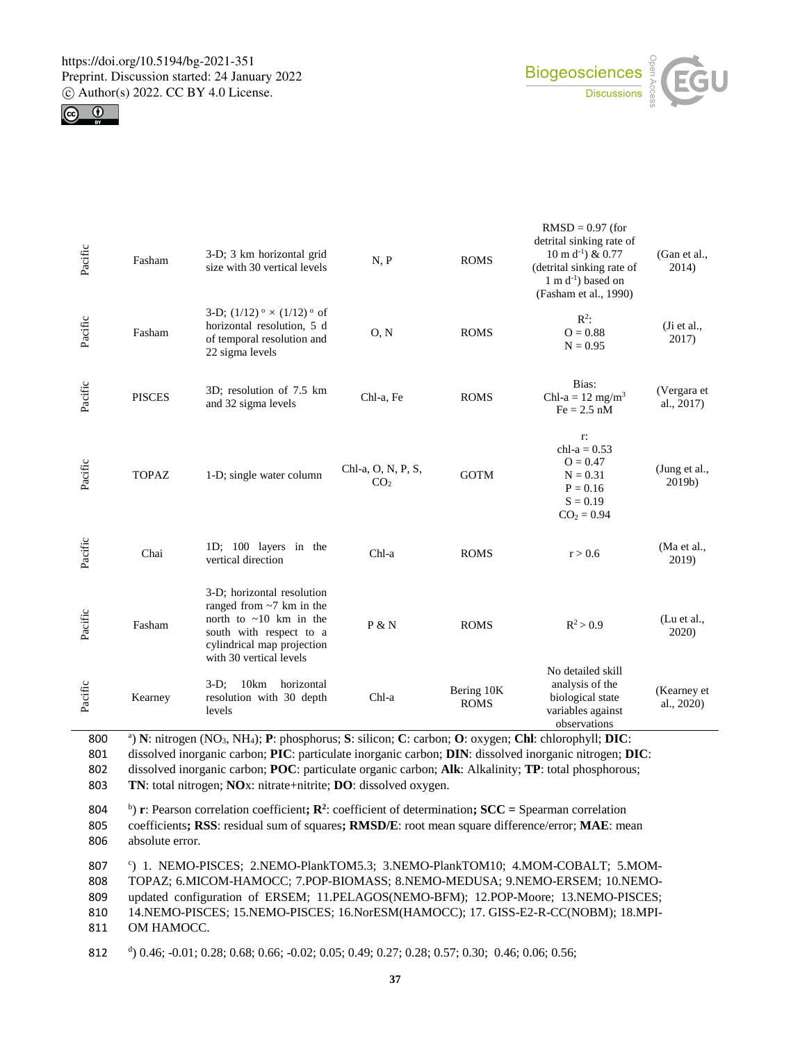



| Pacific | Fasham        | 3-D; 3 km horizontal grid<br>size with 30 vertical levels                                                                                                                        | N, P                                  | <b>ROMS</b>               | $RMSD = 0.97$ (for<br>detrital sinking rate of<br>$10 \text{ m d}^{-1}$ ) & 0.77<br>(detrital sinking rate of<br>$1 \text{ m d}^{-1}$ ) based on<br>(Fasham et al., 1990) | (Gan et al.,<br>2014)     |
|---------|---------------|----------------------------------------------------------------------------------------------------------------------------------------------------------------------------------|---------------------------------------|---------------------------|---------------------------------------------------------------------------------------------------------------------------------------------------------------------------|---------------------------|
| Pacific | Fasham        | 3-D; $(1/12)$ <sup>o</sup> $\times$ $(1/12)$ <sup>o</sup> of<br>horizontal resolution, 5 d<br>of temporal resolution and<br>22 sigma levels                                      | O, N                                  | <b>ROMS</b>               | $\mathbb{R}^2$ :<br>$O = 0.88$<br>$N = 0.95$                                                                                                                              | (Ji et al.,<br>2017)      |
| Pacific | <b>PISCES</b> | 3D; resolution of 7.5 km<br>and 32 sigma levels                                                                                                                                  | Chl-a, Fe                             | <b>ROMS</b>               | Bias:<br>Chl-a = $12 \text{ mg/m}^3$<br>$Fe = 2.5$ nM                                                                                                                     | (Vergara et<br>al., 2017) |
| Pacific | <b>TOPAZ</b>  | 1-D; single water column                                                                                                                                                         | Chl-a, O, N, P, S,<br>CO <sub>2</sub> | <b>GOTM</b>               | r:<br>chl- $a = 0.53$<br>$Q = 0.47$<br>$N = 0.31$<br>$P = 0.16$<br>$S = 0.19$<br>$CO2 = 0.94$                                                                             | (Jung et al.,<br>2019b)   |
| Pacific | Chai          | 1D; 100 layers in the<br>vertical direction                                                                                                                                      | Chl-a                                 | <b>ROMS</b>               | r > 0.6                                                                                                                                                                   | (Ma et al.,<br>2019)      |
| Pacific | Fasham        | 3-D; horizontal resolution<br>ranged from $\sim$ 7 km in the<br>north to $\sim 10$ km in the<br>south with respect to a<br>cylindrical map projection<br>with 30 vertical levels | P & N                                 | <b>ROMS</b>               | $R^2 > 0.9$                                                                                                                                                               | (Lu et al.,<br>2020)      |
| Pacific | Kearney       | 10km<br>$3-D$ ;<br>horizontal<br>resolution with 30 depth<br>levels                                                                                                              | Chl-a                                 | Bering 10K<br><b>ROMS</b> | No detailed skill<br>analysis of the<br>biological state<br>variables against<br>observations                                                                             | (Kearney et<br>al., 2020) |

<sup>a</sup> 800 ) **N**: nitrogen (NO3, NH4); **P**: phosphorus; **S**: silicon; **C**: carbon; **O**: oxygen; **Chl**: chlorophyll; **DIC**: dissolved inorganic carbon; **PIC**: particulate inorganic carbon; **DIN**: dissolved inorganic nitrogen; **DIC**: dissolved inorganic carbon; **POC**: particulate organic carbon; **Alk**: Alkalinity; **TP**: total phosphorous; **TN**: total nitrogen; **NO**x: nitrate+nitrite; **DO**: dissolved oxygen.

804 b) **r**: Pearson correlation coefficient;  $\mathbb{R}^2$ : coefficient of determination;  $SCC =$  Spearman correlation 805 coefficients**; RSS**: residual sum of squares**; RMSD/E**: root mean square difference/error; **MAE**: mean 806 absolute error.

807 <sup>c</sup>) 1. NEMO-PISCES; 2.NEMO-PlankTOM5.3; 3.NEMO-PlankTOM10; 4.MOM-COBALT; 5.MOM- TOPAZ; 6.MICOM-HAMOCC; 7.POP-BIOMASS; 8.NEMO-MEDUSA; 9.NEMO-ERSEM; 10.NEMO- updated configuration of ERSEM; 11.PELAGOS(NEMO-BFM); 12.POP-Moore; 13.NEMO-PISCES; 14.NEMO-PISCES; 15.NEMO-PISCES; 16.NorESM(HAMOCC); 17. GISS-E2-R-CC(NOBM); 18.MPI-OM HAMOCC.

<sup>d</sup> 812 ) 0.46; -0.01; 0.28; 0.68; 0.66; -0.02; 0.05; 0.49; 0.27; 0.28; 0.57; 0.30; 0.46; 0.06; 0.56;